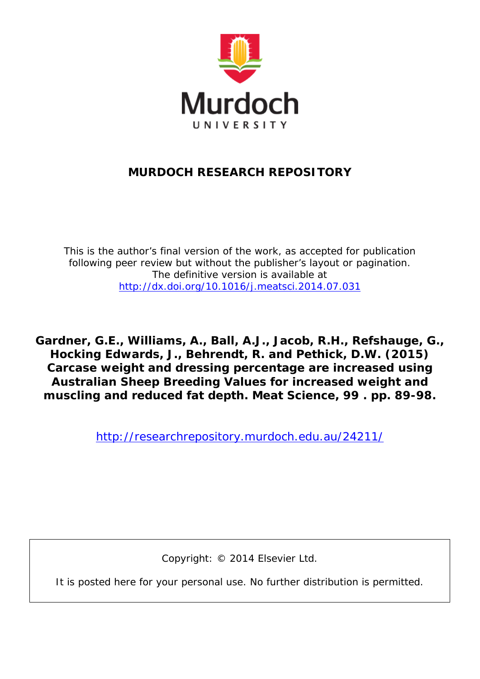

### **MURDOCH RESEARCH REPOSITORY**

*This is the author's final version of the work, as accepted for publication following peer review but without the publisher's layout or pagination. The definitive version is available at <http://dx.doi.org/10.1016/j.meatsci.2014.07.031>*

**Gardner, G.E., Williams, A., Ball, A.J., Jacob, R.H., Refshauge, G., Hocking Edwards, J., Behrendt, R. and Pethick, D.W. (2015) Carcase weight and dressing percentage are increased using Australian Sheep Breeding Values for increased weight and muscling and reduced fat depth. Meat Science, 99 . pp. 89-98.**

<http://researchrepository.murdoch.edu.au/24211/>

Copyright: © 2014 Elsevier Ltd.

It is posted here for your personal use. No further distribution is permitted.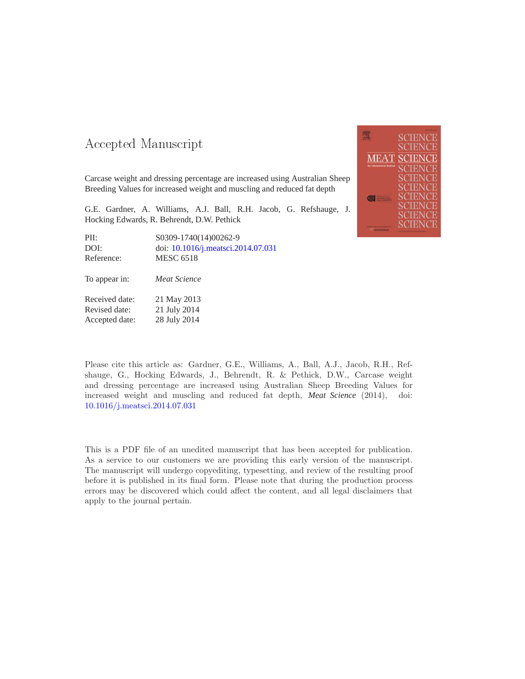### -- -

Carcase weight and dressing percentage are increased using Australian Sheep Breeding Values for increased weight and muscling and reduced fat depth

G.E. Gardner, A. Williams, A.J. Ball, R.H. Jacob, G. Refshauge, J. Hocking Edwards, R. Behrendt, D.W. Pethick

| PII:       | S0309-1740(14)00262-9              |
|------------|------------------------------------|
| DOI:       | doi: 10.1016/j.meatsci.2014.07.031 |
| Reference: | <b>MESC 6518</b>                   |

To appear in: *Meat Science*

Received date: 21 May 2013 Revised date: 21 July 2014 Accepted date: 28 July 2014

|                                  | SCIENCE                          |
|----------------------------------|----------------------------------|
|                                  | <b>SCIENCE</b><br><b>SCIENCE</b> |
| MEAT<br>An International Iournal | <b>SCIENCE</b>                   |
|                                  | SCIENCE<br>SCIENCE               |
|                                  | SCIENCE                          |
|                                  | SCIENCE<br>SCIENCE               |
| ScienceDirect                    | SCIENCE                          |

Please cite this article as: Gardner, G.E., Williams, A., Ball, A.J., Jacob, R.H., Refshauge, G., Hocking Edwards, J., Behrendt, R. & Pethick, D.W., Carcase weight and dressing percentage are increased using Australian Sheep Breeding Values for increased weight and muscling and reduced fat depth, *Meat Science* (2014), doi: [10.1016/j.meatsci.2014.07.031](http://dx.doi.org/10.1016/j.meatsci.2014.07.031)

This is a PDF file of an unedited manuscript that has been accepted for publication. As a service to our customers we are providing this early version of the manuscript. The manuscript will undergo copyediting, typesetting, and review of the resulting proof before it is published in its final form. Please note that during the production process errors may be discovered which could affect the content, and all legal disclaimers that apply to the journal pertain.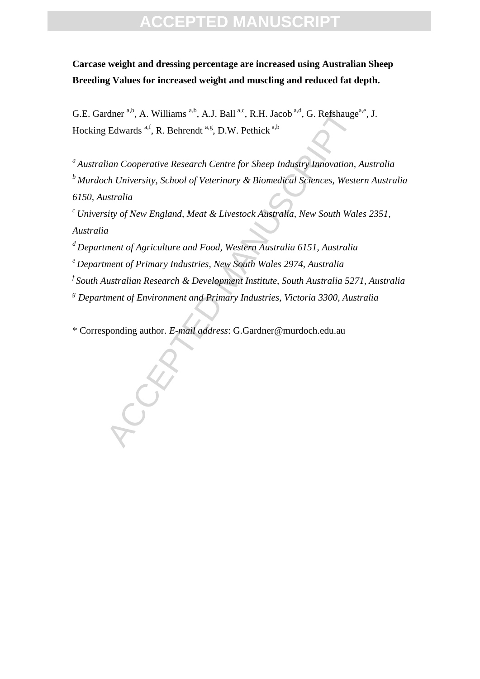# **CEPTED MANUS**

### **Carcase weight and dressing percentage are increased using Australian Sheep Breeding Values for increased weight and muscling and reduced fat depth.**

G.E. Gardner <sup>a,b</sup>, A. Williams <sup>a,b</sup>, A.J. Ball <sup>a,c</sup>, R.H. Jacob <sup>a,d</sup>, G. Refshauge<sup>a,e</sup>, J. Hocking Edwards <sup>a,f</sup>, R. Behrendt <sup>a,g</sup>, D.W. Pethick <sup>a,b</sup>

rdner <sup>a.o</sup>, A. Williams <sup>a.o</sup>, A.J. Ball <sup>a.c</sup>, R.H. Jacob <sup>a.d</sup>, G. Refshauge<br>Edwards <sup>a.f</sup>, R. Behrendt <sup>a.g</sup>, D.W. Pethick <sup>a.b</sup><br>fian Cooperative Research Centre for Sheep Industry Innovation, i.h<br>University, School o *<sup>a</sup>Australian Cooperative Research Centre for Sheep Industry Innovation, Australia <sup>b</sup>Murdoch University, School of Veterinary & Biomedical Sciences, Western Australia 6150, Australia*

*<sup>c</sup>University of New England, Meat & Livestock Australia, New South Wales 2351, Australia*

*<sup>d</sup>Department of Agriculture and Food, Western Australia 6151, Australia*

*<sup>e</sup> Department of Primary Industries, New South Wales 2974, Australia*

*f South Australian Research & Development Institute, South Australia 5271, Australia*

*<sup>g</sup> Department of Environment and Primary Industries, Victoria 3300, Australia*

\* Corresponding author. *E-mail address*: G.Gardner@murdoch.edu.au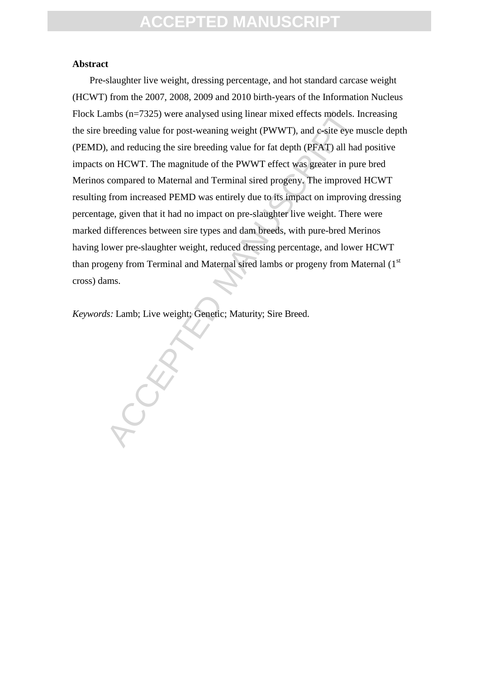#### **Abstract**

Pre-slaughter live weight, dressing percentage, and hot standard carcase weight (HCWT) from the 2007, 2008, 2009 and 2010 birth-years of the Information Nucleus Flock Lambs (n=7325) were analysed using linear mixed effects models. Increasing the sire breeding value for post-weaning weight (PWWT), and c-site eye muscle depth (PEMD), and reducing the sire breeding value for fat depth (PFAT) all had positive impacts on HCWT. The magnitude of the PWWT effect was greater in pure bred Merinos compared to Maternal and Terminal sired progeny. The improved HCWT resulting from increased PEMD was entirely due to its impact on improving dressing percentage, given that it had no impact on pre-slaughter live weight. There were marked differences between sire types and dam breeds, with pure-bred Merinos having lower pre-slaughter weight, reduced dressing percentage, and lower HCWT than progeny from Terminal and Maternal sired lambs or progeny from Maternal (1<sup>st</sup>) cross) dams.

*Keywords:* Lamb; Live weight; Genetic; Maturity; Sire Breed.

TCCKRY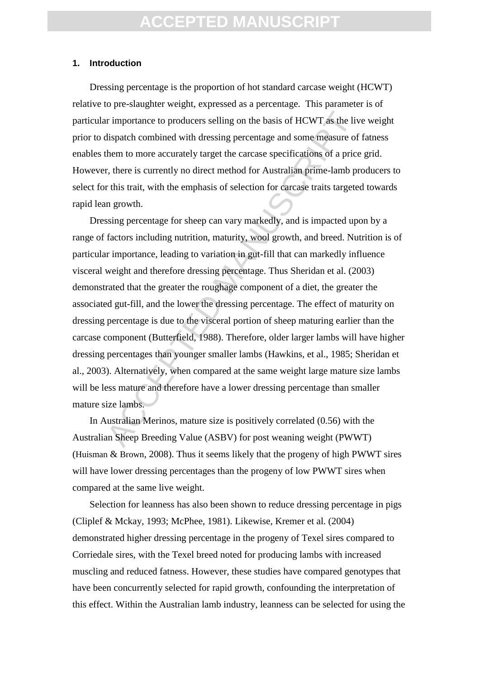#### **1. Introduction**

Dressing percentage is the proportion of hot standard carcase weight (HCWT) relative to pre-slaughter weight, expressed as a percentage. This parameter is of particular importance to producers selling on the basis of HCWT as the live weight prior to dispatch combined with dressing percentage and some measure of fatness enables them to more accurately target the carcase specifications of a price grid. However, there is currently no direct method for Australian prime-lamb producers to select for this trait, with the emphasis of selection for carcase traits targeted towards rapid lean growth.

is importance to producers selling on the basis of HCWT as the liveoration combined with dressing percentage and some measure of them to more accurately target the carcase specifications of a pricer, there is currently no Dressing percentage for sheep can vary markedly, and is impacted upon by a range of factors including nutrition, maturity, wool growth, and breed. Nutrition is of particular importance, leading to variation in gut-fill that can markedly influence visceral weight and therefore dressing percentage. Thus Sheridan et al. (2003) demonstrated that the greater the roughage component of a diet, the greater the associated gut-fill, and the lower the dressing percentage. The effect of maturity on dressing percentage is due to the visceral portion of sheep maturing earlier than the carcase component (Butterfield, 1988). Therefore, older larger lambs will have higher dressing percentages than younger smaller lambs (Hawkins, et al., 1985; Sheridan et al., 2003). Alternatively, when compared at the same weight large mature size lambs will be less mature and therefore have a lower dressing percentage than smaller mature size lambs.

In Australian Merinos, mature size is positively correlated (0.56) with the Australian Sheep Breeding Value (ASBV) for post weaning weight (PWWT) (Huisman & Brown, 2008). Thus it seems likely that the progeny of high PWWT sires will have lower dressing percentages than the progeny of low PWWT sires when compared at the same live weight.

Selection for leanness has also been shown to reduce dressing percentage in pigs (Cliplef & Mckay, 1993; McPhee, 1981). Likewise, Kremer et al. (2004) demonstrated higher dressing percentage in the progeny of Texel sires compared to Corriedale sires, with the Texel breed noted for producing lambs with increased muscling and reduced fatness. However, these studies have compared genotypes that have been concurrently selected for rapid growth, confounding the interpretation of this effect. Within the Australian lamb industry, leanness can be selected for using the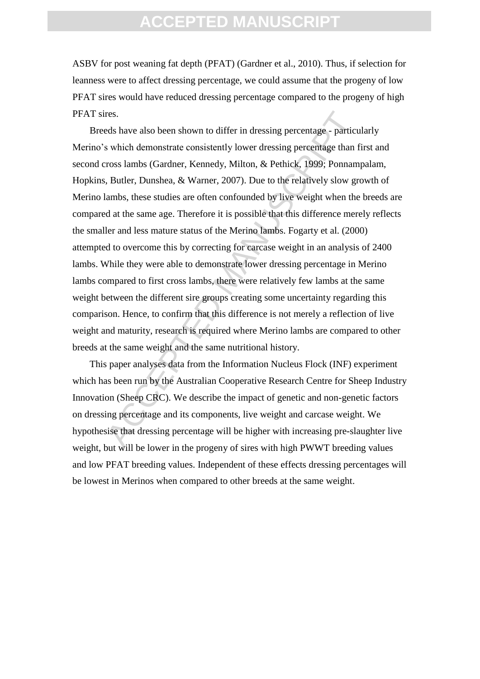ASBV for post weaning fat depth (PFAT) (Gardner et al., 2010). Thus, if selection for leanness were to affect dressing percentage, we could assume that the progeny of low PFAT sires would have reduced dressing percentage compared to the progeny of high PFAT sires.

res.<br>
res.<br>
res.<br>
res.<br>
se have also been shown to differ in dressing percentage - particu<br>
se which demonstrate consistently lower dressing percentage than f<br>
ross lambs (Gardner, Kennedy, Milton, & Pethick, 1999; Ponnam<br> Breeds have also been shown to differ in dressing percentage - particularly Merino's which demonstrate consistently lower dressing percentage than first and second cross lambs (Gardner, Kennedy, Milton, & Pethick, 1999; Ponnampalam, Hopkins, Butler, Dunshea, & Warner, 2007). Due to the relatively slow growth of Merino lambs, these studies are often confounded by live weight when the breeds are compared at the same age. Therefore it is possible that this difference merely reflects the smaller and less mature status of the Merino lambs. Fogarty et al. (2000) attempted to overcome this by correcting for carcase weight in an analysis of 2400 lambs. While they were able to demonstrate lower dressing percentage in Merino lambs compared to first cross lambs, there were relatively few lambs at the same weight between the different sire groups creating some uncertainty regarding this comparison. Hence, to confirm that this difference is not merely a reflection of live weight and maturity, research is required where Merino lambs are compared to other breeds at the same weight and the same nutritional history.

This paper analyses data from the Information Nucleus Flock (INF) experiment which has been run by the Australian Cooperative Research Centre for Sheep Industry Innovation (Sheep CRC). We describe the impact of genetic and non-genetic factors on dressing percentage and its components, live weight and carcase weight. We hypothesise that dressing percentage will be higher with increasing pre-slaughter live weight, but will be lower in the progeny of sires with high PWWT breeding values and low PFAT breeding values. Independent of these effects dressing percentages will be lowest in Merinos when compared to other breeds at the same weight.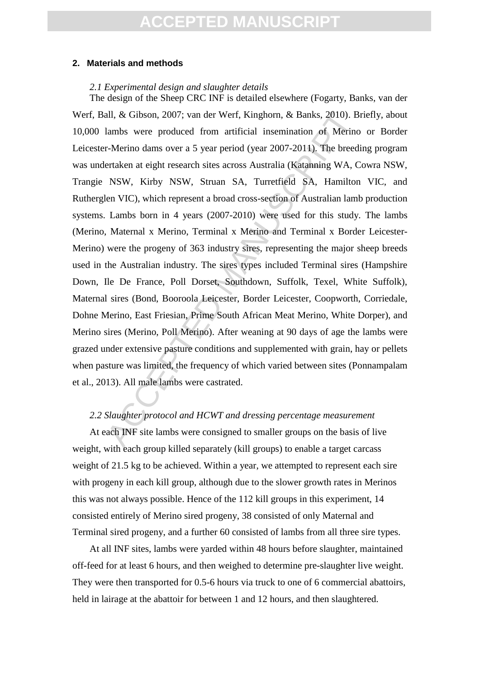#### **2. Materials and methods**

#### *2.1 Experimental design and slaughter details*

all, & Gibson, 2007; van der Werf, Kinghorn, & Banks, 2010). B<br>lambs were produced from artificial insemination of Merino<br>r-Merino dams over a 5 year period (year 2007-2011). The breed<br>ertaken at eight research sites acros The design of the Sheep CRC INF is detailed elsewhere (Fogarty, Banks, van der Werf, Ball, & Gibson, 2007; van der Werf, Kinghorn, & Banks, 2010). Briefly, about 10,000 lambs were produced from artificial insemination of Merino or Border Leicester-Merino dams over a 5 year period (year 2007-2011). The breeding program was undertaken at eight research sites across Australia (Katanning WA, Cowra NSW, Trangie NSW, Kirby NSW, Struan SA, Turretfield SA, Hamilton VIC, and Rutherglen VIC), which represent a broad cross-section of Australian lamb production systems. Lambs born in 4 years (2007-2010) were used for this study. The lambs (Merino, Maternal x Merino, Terminal x Merino and Terminal x Border Leicester-Merino) were the progeny of 363 industry sires, representing the major sheep breeds used in the Australian industry. The sires types included Terminal sires (Hampshire Down, Ile De France, Poll Dorset, Southdown, Suffolk, Texel, White Suffolk), Maternal sires (Bond, Booroola Leicester, Border Leicester, Coopworth, Corriedale, Dohne Merino, East Friesian, Prime South African Meat Merino, White Dorper), and Merino sires (Merino, Poll Merino). After weaning at 90 days of age the lambs were grazed under extensive pasture conditions and supplemented with grain, hay or pellets when pasture was limited, the frequency of which varied between sites (Ponnampalam et al., 2013). All male lambs were castrated.

#### *2.2 Slaughter protocol and HCWT and dressing percentage measurement*

At each INF site lambs were consigned to smaller groups on the basis of live weight, with each group killed separately (kill groups) to enable a target carcass weight of 21.5 kg to be achieved. Within a year, we attempted to represent each sire with progeny in each kill group, although due to the slower growth rates in Merinos this was not always possible. Hence of the 112 kill groups in this experiment, 14 consisted entirely of Merino sired progeny, 38 consisted of only Maternal and Terminal sired progeny, and a further 60 consisted of lambs from all three sire types.

At all INF sites, lambs were yarded within 48 hours before slaughter, maintained off-feed for at least 6 hours, and then weighed to determine pre-slaughter live weight. They were then transported for 0.5-6 hours via truck to one of 6 commercial abattoirs, held in lairage at the abattoir for between 1 and 12 hours, and then slaughtered.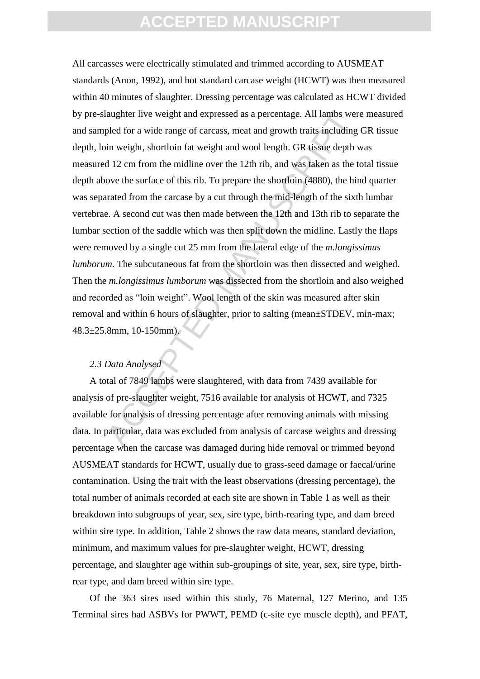laughter live weight and expressed as a percentage. All lambs wer<br>pled for a wide range of carcass, meat and growth traits including<br>in weight, shortloin fat weight and wool length. GR tissue depth v<br>d 12 cm from the midli All carcasses were electrically stimulated and trimmed according to AUSMEAT standards (Anon, 1992), and hot standard carcase weight (HCWT) was then measured within 40 minutes of slaughter. Dressing percentage was calculated as HCWT divided by pre-slaughter live weight and expressed as a percentage. All lambs were measured and sampled for a wide range of carcass, meat and growth traits including GR tissue depth, loin weight, shortloin fat weight and wool length. GR tissue depth was measured 12 cm from the midline over the 12th rib, and was taken as the total tissue depth above the surface of this rib. To prepare the shortloin (4880), the hind quarter was separated from the carcase by a cut through the mid-length of the sixth lumbar vertebrae. A second cut was then made between the 12th and 13th rib to separate the lumbar section of the saddle which was then split down the midline. Lastly the flaps were removed by a single cut 25 mm from the lateral edge of the *m.longissimus lumborum*. The subcutaneous fat from the shortloin was then dissected and weighed. Then the *m.longissimus lumborum* was dissected from the shortloin and also weighed and recorded as "loin weight". Wool length of the skin was measured after skin removal and within 6 hours of slaughter, prior to salting (mean±STDEV, min-max; 48.3±25.8mm, 10-150mm).

#### *2.3 Data Analysed*

A total of 7849 lambs were slaughtered, with data from 7439 available for analysis of pre-slaughter weight, 7516 available for analysis of HCWT, and 7325 available for analysis of dressing percentage after removing animals with missing data. In particular, data was excluded from analysis of carcase weights and dressing percentage when the carcase was damaged during hide removal or trimmed beyond AUSMEAT standards for HCWT, usually due to grass-seed damage or faecal/urine contamination. Using the trait with the least observations (dressing percentage), the total number of animals recorded at each site are shown in Table 1 as well as their breakdown into subgroups of year, sex, sire type, birth-rearing type, and dam breed within sire type. In addition, Table 2 shows the raw data means, standard deviation, minimum, and maximum values for pre-slaughter weight, HCWT, dressing percentage, and slaughter age within sub-groupings of site, year, sex, sire type, birthrear type, and dam breed within sire type.

Of the 363 sires used within this study, 76 Maternal, 127 Merino, and 135 Terminal sires had ASBVs for PWWT, PEMD (c-site eye muscle depth), and PFAT,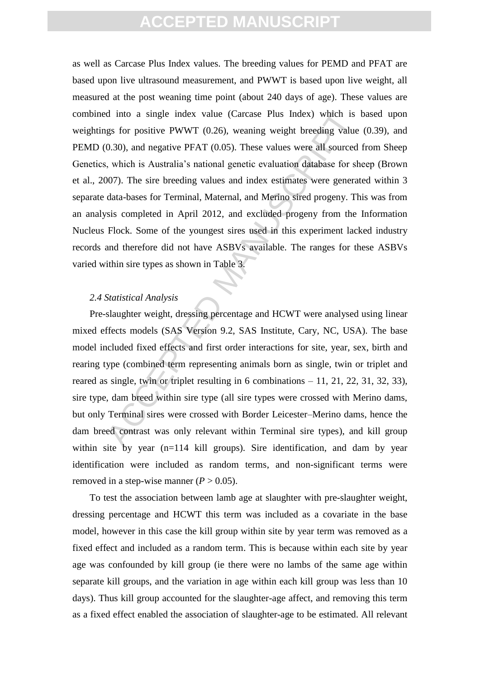d into a single index value (Carcase Plus Index) which is<br>gs for positive PWWT (0.26), weaning weight breeding value<br>0.30), and negative PFAT (0.05). These values were all sourced<br>i, which is Australia's national genetic as well as Carcase Plus Index values. The breeding values for PEMD and PFAT are based upon live ultrasound measurement, and PWWT is based upon live weight, all measured at the post weaning time point (about 240 days of age). These values are combined into a single index value (Carcase Plus Index) which is based upon weightings for positive PWWT (0.26), weaning weight breeding value (0.39), and PEMD (0.30), and negative PFAT (0.05). These values were all sourced from Sheep Genetics, which is Australia's national genetic evaluation database for sheep (Brown et al., 2007). The sire breeding values and index estimates were generated within 3 separate data-bases for Terminal, Maternal, and Merino sired progeny. This was from an analysis completed in April 2012, and excluded progeny from the Information Nucleus Flock. Some of the youngest sires used in this experiment lacked industry records and therefore did not have ASBVs available. The ranges for these ASBVs varied within sire types as shown in Table 3.

#### *2.4 Statistical Analysis*

Pre-slaughter weight, dressing percentage and HCWT were analysed using linear mixed effects models (SAS Version 9.2, SAS Institute, Cary, NC, USA). The base model included fixed effects and first order interactions for site, year, sex, birth and rearing type (combined term representing animals born as single, twin or triplet and reared as single, twin or triplet resulting in 6 combinations – 11, 21, 22, 31, 32, 33), sire type, dam breed within sire type (all sire types were crossed with Merino dams, but only Terminal sires were crossed with Border Leicester–Merino dams, hence the dam breed contrast was only relevant within Terminal sire types), and kill group within site by year (n=114 kill groups). Sire identification, and dam by year identification were included as random terms, and non-significant terms were removed in a step-wise manner  $(P > 0.05)$ .

To test the association between lamb age at slaughter with pre-slaughter weight, dressing percentage and HCWT this term was included as a covariate in the base model, however in this case the kill group within site by year term was removed as a fixed effect and included as a random term. This is because within each site by year age was confounded by kill group (ie there were no lambs of the same age within separate kill groups, and the variation in age within each kill group was less than 10 days). Thus kill group accounted for the slaughter-age affect, and removing this term as a fixed effect enabled the association of slaughter-age to be estimated. All relevant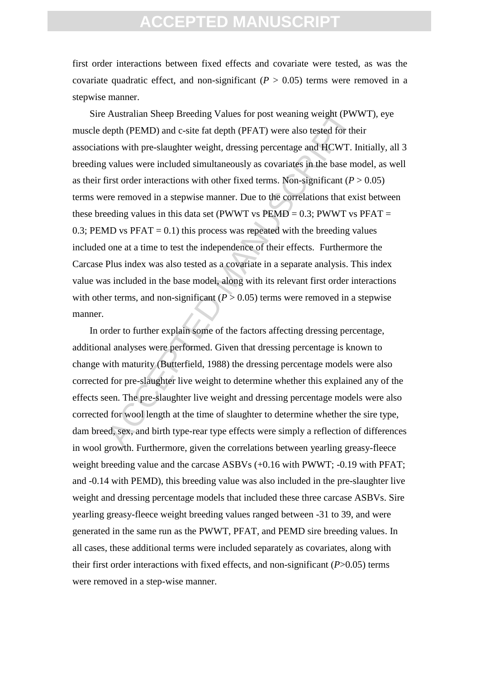first order interactions between fixed effects and covariate were tested, as was the covariate quadratic effect, and non-significant ( $P > 0.05$ ) terms were removed in a stepwise manner.

Australian Sheep Breeding Values for post weaning weight (PW)<br>
eleph (PEMD) and c-site fat depth (PFAT) were also tested for the<br>
ons with pre-slaughter weight, dressing percentage and HCWT. In<br>
values were included simul Sire Australian Sheep Breeding Values for post weaning weight (PWWT), eye muscle depth (PEMD) and c-site fat depth (PFAT) were also tested for their associations with pre-slaughter weight, dressing percentage and HCWT. Initially, all 3 breeding values were included simultaneously as covariates in the base model, as well as their first order interactions with other fixed terms. Non-significant  $(P > 0.05)$ terms were removed in a stepwise manner. Due to the correlations that exist between these breeding values in this data set (PWWT vs  $PEMD = 0.3$ ; PWWT vs  $PFAT =$ 0.3; PEMD vs  $PFAT = 0.1$ ) this process was repeated with the breeding values included one at a time to test the independence of their effects. Furthermore the Carcase Plus index was also tested as a covariate in a separate analysis. This index value was included in the base model, along with its relevant first order interactions with other terms, and non-significant  $(P > 0.05)$  terms were removed in a stepwise manner.

In order to further explain some of the factors affecting dressing percentage, additional analyses were performed. Given that dressing percentage is known to change with maturity (Butterfield, 1988) the dressing percentage models were also corrected for pre-slaughter live weight to determine whether this explained any of the effects seen. The pre-slaughter live weight and dressing percentage models were also corrected for wool length at the time of slaughter to determine whether the sire type, dam breed, sex, and birth type-rear type effects were simply a reflection of differences in wool growth. Furthermore, given the correlations between yearling greasy-fleece weight breeding value and the carcase ASBVs (+0.16 with PWWT; -0.19 with PFAT; and -0.14 with PEMD), this breeding value was also included in the pre-slaughter live weight and dressing percentage models that included these three carcase ASBVs. Sire yearling greasy-fleece weight breeding values ranged between -31 to 39, and were generated in the same run as the PWWT, PFAT, and PEMD sire breeding values. In all cases, these additional terms were included separately as covariates, along with their first order interactions with fixed effects, and non-significant (*P*>0.05) terms were removed in a step-wise manner.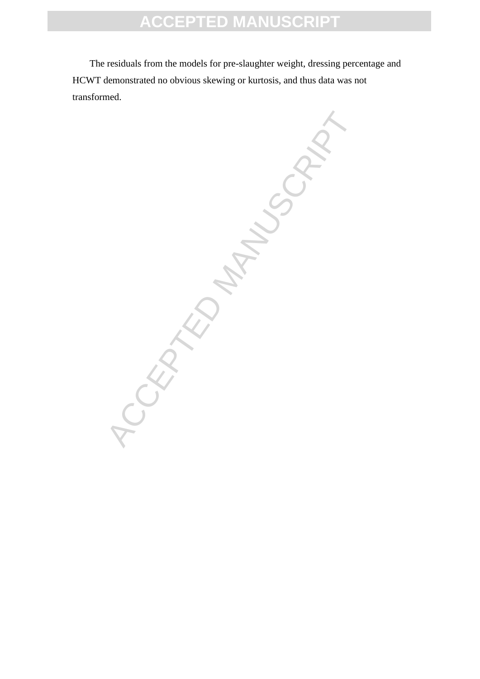The residuals from the models for pre-slaughter weight, dressing percentage and HCWT demonstrated no obvious skewing or kurtosis, and thus data was not transformed.

CCEPTED MANUSCRIPT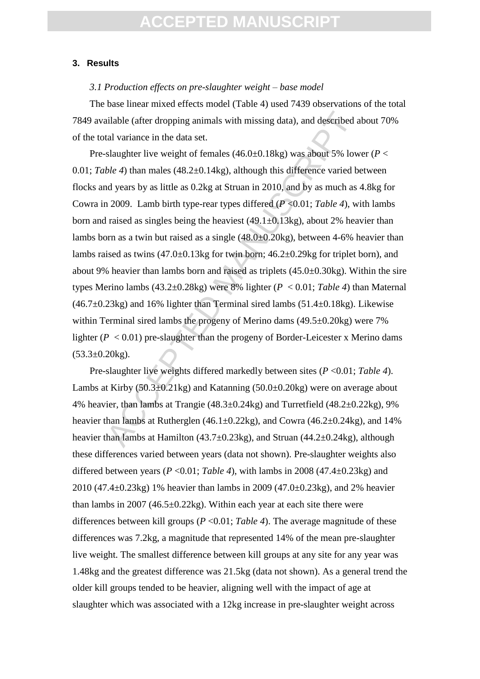#### **3. Results**

#### *3.1 Production effects on pre-slaughter weight – base model*

The base linear mixed effects model (Table 4) used 7439 observations of the total 7849 available (after dropping animals with missing data), and described about 70% of the total variance in the data set.

ailable (after dropping animals with missing data), and described a<br>tal variance in the data set.<br>Slaughter live weight of females (46.0±0.18kg) was about 5% low<br>*ble 4*) than males (48.2±0.14kg), although this difference Pre-slaughter live weight of females (46.0±0.18kg) was about 5% lower (*P* < 0.01; *Table 4*) than males (48.2±0.14kg), although this difference varied between flocks and years by as little as 0.2kg at Struan in 2010, and by as much as 4.8kg for Cowra in 2009. Lamb birth type-rear types differed (*P* <0.01; *Table 4*), with lambs born and raised as singles being the heaviest  $(49.1\pm0.13\text{kg})$ , about 2% heavier than lambs born as a twin but raised as a single  $(48.0\pm0.20\text{kg})$ , between 4-6% heavier than lambs raised as twins  $(47.0\pm0.13\text{kg}$  for twin born;  $46.2\pm0.29\text{kg}$  for triplet born), and about 9% heavier than lambs born and raised as triplets (45.0±0.30kg). Within the sire types Merino lambs (43.2±0.28kg) were 8% lighter (*P* < 0.01; *Table 4*) than Maternal  $(46.7\pm0.23\text{kg})$  and 16% lighter than Terminal sired lambs  $(51.4\pm0.18\text{kg})$ . Likewise within Terminal sired lambs the progeny of Merino dams (49.5 $\pm$ 0.20kg) were 7% lighter  $(P < 0.01)$  pre-slaughter than the progeny of Border-Leicester x Merino dams  $(53.3\pm0.20kg)$ .

Pre-slaughter live weights differed markedly between sites (*P* <0.01; *Table 4*). Lambs at Kirby  $(50.3\pm0.21\text{kg})$  and Katanning  $(50.0\pm0.20\text{kg})$  were on average about 4% heavier, than lambs at Trangie  $(48.3\pm0.24\text{kg})$  and Turretfield  $(48.2\pm0.22\text{kg})$ , 9% heavier than lambs at Rutherglen  $(46.1\pm0.22\text{kg})$ , and Cowra  $(46.2\pm0.24\text{kg})$ , and 14% heavier than lambs at Hamilton (43.7±0.23kg), and Struan (44.2±0.24kg), although these differences varied between years (data not shown). Pre-slaughter weights also differed between years ( $P < 0.01$ ; *Table 4*), with lambs in 2008 (47.4 $\pm$ 0.23kg) and 2010 (47.4±0.23kg) 1% heavier than lambs in 2009 (47.0±0.23kg), and 2% heavier than lambs in  $2007$  (46.5 $\pm$ 0.22kg). Within each year at each site there were differences between kill groups (*P* <0.01; *Table 4*). The average magnitude of these differences was 7.2kg, a magnitude that represented 14% of the mean pre-slaughter live weight. The smallest difference between kill groups at any site for any year was 1.48kg and the greatest difference was 21.5kg (data not shown). As a general trend the older kill groups tended to be heavier, aligning well with the impact of age at slaughter which was associated with a 12kg increase in pre-slaughter weight across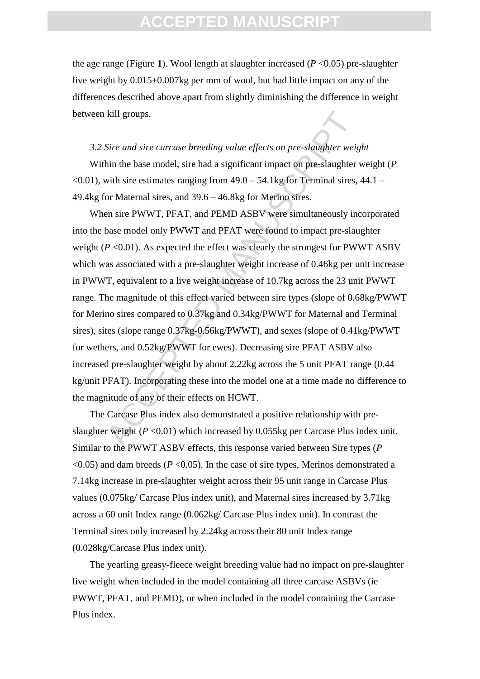the age range (Figure 1). Wool length at slaughter increased ( $P < 0.05$ ) pre-slaughter live weight by 0.015±0.007kg per mm of wool, but had little impact on any of the differences described above apart from slightly diminishing the difference in weight between kill groups.

#### *3.2 Sire and sire carcase breeding value effects on pre-slaughter weight*

Within the base model, sire had a significant impact on pre-slaughter weight (*P*   $\leq$  0.01), with sire estimates ranging from 49.0 – 54.1 kg for Terminal sires, 44.1 – 49.4kg for Maternal sires, and 39.6 – 46.8kg for Merino sires.

kill groups.<br>
Sire and sire carcase breeding value effects on pre-slaughter weight<br>
shin the base model, sire had a significant impact on pre-slaughter weight<br>
with sire estimates ranging from 49.0 – 54.1kg for Terminal s When sire PWWT, PFAT, and PEMD ASBV were simultaneously incorporated into the base model only PWWT and PFAT were found to impact pre-slaughter weight  $(P \le 0.01)$ . As expected the effect was clearly the strongest for PWWT ASBV which was associated with a pre-slaughter weight increase of 0.46kg per unit increase in PWWT, equivalent to a live weight increase of 10.7kg across the 23 unit PWWT range. The magnitude of this effect varied between sire types (slope of 0.68kg/PWWT for Merino sires compared to 0.37kg and 0.34kg/PWWT for Maternal and Terminal sires), sites (slope range 0.37kg-0.56kg/PWWT), and sexes (slope of 0.41kg/PWWT for wethers, and 0.52kg/PWWT for ewes). Decreasing sire PFAT ASBV also increased pre-slaughter weight by about 2.22kg across the 5 unit PFAT range (0.44 kg/unit PFAT). Incorporating these into the model one at a time made no difference to the magnitude of any of their effects on HCWT.

The Carcase Plus index also demonstrated a positive relationship with preslaughter weight  $(P < 0.01)$  which increased by 0.055kg per Carcase Plus index unit. Similar to the PWWT ASBV effects, this response varied between Sire types (*P*   $\leq$ 0.05) and dam breeds (*P*  $\leq$ 0.05). In the case of sire types, Merinos demonstrated a 7.14kg increase in pre-slaughter weight across their 95 unit range in Carcase Plus values (0.075kg/ Carcase Plus index unit), and Maternal sires increased by 3.71kg across a 60 unit Index range (0.062kg/ Carcase Plus index unit). In contrast the Terminal sires only increased by 2.24kg across their 80 unit Index range (0.028kg/Carcase Plus index unit).

The yearling greasy-fleece weight breeding value had no impact on pre-slaughter live weight when included in the model containing all three carcase ASBVs (ie PWWT, PFAT, and PEMD), or when included in the model containing the Carcase Plus index.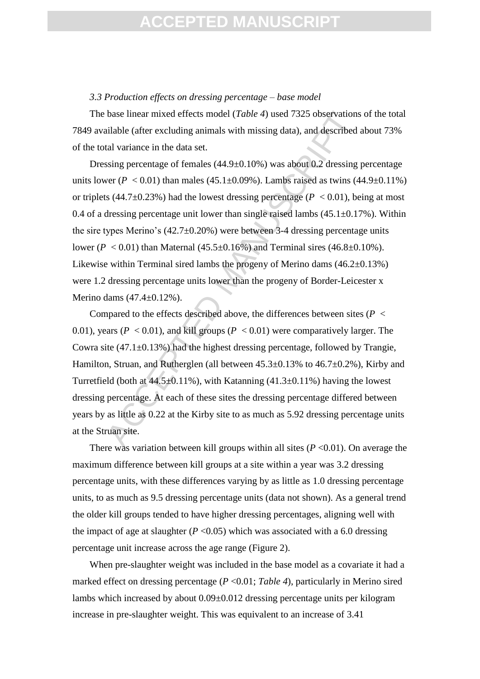#### *3.3 Production effects on dressing percentage – base model*

The base linear mixed effects model (*Table 4*) used 7325 observations of the total 7849 available (after excluding animals with missing data), and described about 73% of the total variance in the data set.

base linear mixed effects model (*Table 4*) used 7325 observations<br>
ilable (after excluding animals with missing data), and described<br>
tal variance in the data set.<br>
ssing percentage of females (44.9±0.10%) was about 0.2 Dressing percentage of females  $(44.9\pm0.10\%)$  was about 0.2 dressing percentage units lower ( $P < 0.01$ ) than males (45.1±0.09%). Lambs raised as twins (44.9±0.11%) or triplets (44.7 $\pm$ 0.23%) had the lowest dressing percentage ( $P < 0.01$ ), being at most 0.4 of a dressing percentage unit lower than single raised lambs  $(45.1\pm0.17\%)$ . Within the sire types Merino's  $(42.7\pm0.20\%)$  were between 3-4 dressing percentage units lower ( $P < 0.01$ ) than Maternal (45.5 $\pm$ 0.16%) and Terminal sires (46.8 $\pm$ 0.10%). Likewise within Terminal sired lambs the progeny of Merino dams (46.2±0.13%) were 1.2 dressing percentage units lower than the progeny of Border-Leicester x Merino dams (47.4±0.12%).

Compared to the effects described above, the differences between sites ( $P <$ 0.01), years ( $P < 0.01$ ), and kill groups ( $P < 0.01$ ) were comparatively larger. The Cowra site  $(47.1\pm0.13\%)$  had the highest dressing percentage, followed by Trangie, Hamilton, Struan, and Rutherglen (all between 45.3±0.13% to 46.7±0.2%), Kirby and Turretfield (both at  $44.5\pm0.11\%$ ), with Katanning ( $41.3\pm0.11\%$ ) having the lowest dressing percentage. At each of these sites the dressing percentage differed between years by as little as 0.22 at the Kirby site to as much as 5.92 dressing percentage units at the Struan site.

There was variation between kill groups within all sites  $(P \le 0.01)$ . On average the maximum difference between kill groups at a site within a year was 3.2 dressing percentage units, with these differences varying by as little as 1.0 dressing percentage units, to as much as 9.5 dressing percentage units (data not shown). As a general trend the older kill groups tended to have higher dressing percentages, aligning well with the impact of age at slaughter  $(P \le 0.05)$  which was associated with a 6.0 dressing percentage unit increase across the age range (Figure 2).

When pre-slaughter weight was included in the base model as a covariate it had a marked effect on dressing percentage (*P* <0.01; *Table 4*), particularly in Merino sired lambs which increased by about 0.09±0.012 dressing percentage units per kilogram increase in pre-slaughter weight. This was equivalent to an increase of 3.41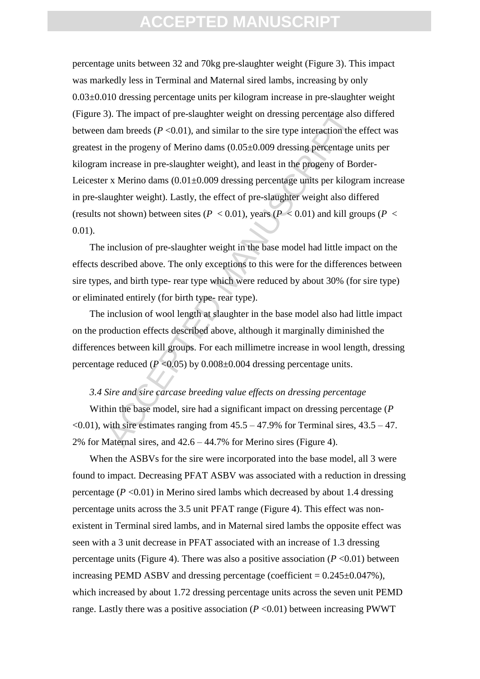3). The impact of pre-slaughter weight on dressing percentage alsed am breeds ( $P < 0.01$ ), and similar to the sire type interaction the in the progeny of Merino dams ( $0.05\pm0.009$  dressing percentage u increase in pre-sl percentage units between 32 and 70kg pre-slaughter weight (Figure 3). This impact was markedly less in Terminal and Maternal sired lambs, increasing by only 0.03±0.010 dressing percentage units per kilogram increase in pre-slaughter weight (Figure 3). The impact of pre-slaughter weight on dressing percentage also differed between dam breeds  $(P \le 0.01)$ , and similar to the sire type interaction the effect was greatest in the progeny of Merino dams  $(0.05\pm0.009)$  dressing percentage units per kilogram increase in pre-slaughter weight), and least in the progeny of Border-Leicester x Merino dams (0.01±0.009 dressing percentage units per kilogram increase in pre-slaughter weight). Lastly, the effect of pre-slaughter weight also differed (results not shown) between sites ( $P < 0.01$ ), years ( $P < 0.01$ ) and kill groups ( $P <$ 0.01).

The inclusion of pre-slaughter weight in the base model had little impact on the effects described above. The only exceptions to this were for the differences between sire types, and birth type- rear type which were reduced by about 30% (for sire type) or eliminated entirely (for birth type- rear type).

The inclusion of wool length at slaughter in the base model also had little impact on the production effects described above, although it marginally diminished the differences between kill groups. For each millimetre increase in wool length, dressing percentage reduced ( $P < 0.05$ ) by 0.008 $\pm$ 0.004 dressing percentage units.

#### *3.4 Sire and sire carcase breeding value effects on dressing percentage*

Within the base model, sire had a significant impact on dressing percentage (*P*   $\leq$  0.01), with sire estimates ranging from 45.5 – 47.9% for Terminal sires, 43.5 – 47. 2% for Maternal sires, and 42.6 – 44.7% for Merino sires (Figure 4).

When the ASBVs for the sire were incorporated into the base model, all 3 were found to impact. Decreasing PFAT ASBV was associated with a reduction in dressing percentage  $(P \le 0.01)$  in Merino sired lambs which decreased by about 1.4 dressing percentage units across the 3.5 unit PFAT range (Figure 4). This effect was nonexistent in Terminal sired lambs, and in Maternal sired lambs the opposite effect was seen with a 3 unit decrease in PFAT associated with an increase of 1.3 dressing percentage units (Figure 4). There was also a positive association  $(P<0.01)$  between increasing PEMD ASBV and dressing percentage (coefficient  $= 0.245 \pm 0.047\%$ ), which increased by about 1.72 dressing percentage units across the seven unit PEMD range. Lastly there was a positive association  $(P \le 0.01)$  between increasing PWWT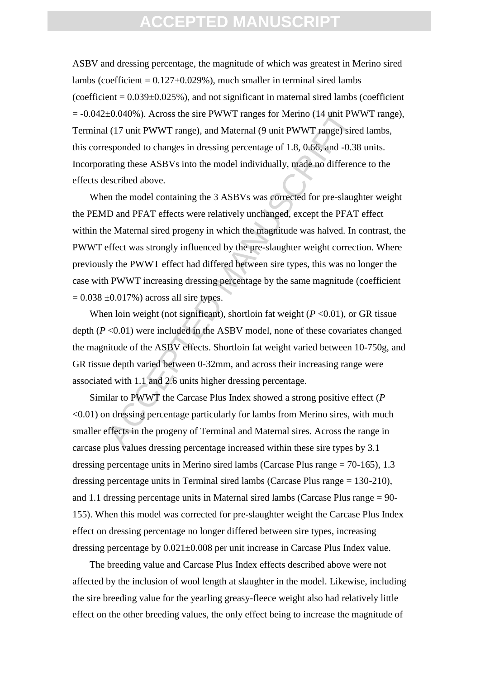ASBV and dressing percentage, the magnitude of which was greatest in Merino sired lambs (coefficient  $= 0.127 \pm 0.029$ %), much smaller in terminal sired lambs  $(coefficient = 0.039 \pm 0.025\%)$ , and not significant in maternal sired lambs (coefficient  $= -0.042\pm0.040\%$ ). Across the sire PWWT ranges for Merino (14 unit PWWT range), Terminal (17 unit PWWT range), and Maternal (9 unit PWWT range) sired lambs, this corresponded to changes in dressing percentage of 1.8, 0.66, and -0.38 units. Incorporating these ASBVs into the model individually, made no difference to the effects described above.

 $\pm 0.040\%$ ). Across the sire PWWT ranges for Merino (14 unit PW<br>1(17 unit PWWT range), and Maternal (9 unit PWWT range) sire<br>esponded to changes in dressing percentage of 1.8, 0.66, and -0.38<br>ating these ASBVs into the When the model containing the 3 ASBVs was corrected for pre-slaughter weight the PEMD and PFAT effects were relatively unchanged, except the PFAT effect within the Maternal sired progeny in which the magnitude was halved. In contrast, the PWWT effect was strongly influenced by the pre-slaughter weight correction. Where previously the PWWT effect had differed between sire types, this was no longer the case with PWWT increasing dressing percentage by the same magnitude (coefficient  $= 0.038 \pm 0.017\%$ ) across all sire types.

When loin weight (not significant), shortloin fat weight  $(P \le 0.01)$ , or GR tissue depth  $(P<0.01)$  were included in the ASBV model, none of these covariates changed the magnitude of the ASBV effects. Shortloin fat weight varied between 10-750g, and GR tissue depth varied between 0-32mm, and across their increasing range were associated with 1.1 and 2.6 units higher dressing percentage.

Similar to PWWT the Carcase Plus Index showed a strong positive effect (*P*   $\leq 0.01$ ) on dressing percentage particularly for lambs from Merino sires, with much smaller effects in the progeny of Terminal and Maternal sires. Across the range in carcase plus values dressing percentage increased within these sire types by 3.1 dressing percentage units in Merino sired lambs (Carcase Plus range = 70-165), 1.3 dressing percentage units in Terminal sired lambs (Carcase Plus range = 130-210), and 1.1 dressing percentage units in Maternal sired lambs (Carcase Plus range = 90- 155). When this model was corrected for pre-slaughter weight the Carcase Plus Index effect on dressing percentage no longer differed between sire types, increasing dressing percentage by 0.021±0.008 per unit increase in Carcase Plus Index value.

The breeding value and Carcase Plus Index effects described above were not affected by the inclusion of wool length at slaughter in the model. Likewise, including the sire breeding value for the yearling greasy-fleece weight also had relatively little effect on the other breeding values, the only effect being to increase the magnitude of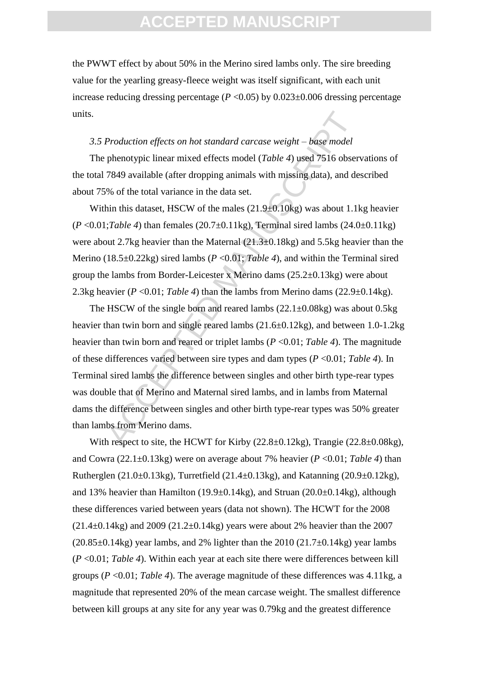the PWWT effect by about 50% in the Merino sired lambs only. The sire breeding value for the yearling greasy-fleece weight was itself significant, with each unit increase reducing dressing percentage ( $P < 0.05$ ) by 0.023 $\pm$ 0.006 dressing percentage units.

#### *3.5 Production effects on hot standard carcase weight – base model*

The phenotypic linear mixed effects model (*Table 4*) used 7516 observations of the total 7849 available (after dropping animals with missing data), and described about 75% of the total variance in the data set.

Within this dataset, HSCW of the males  $(21.9\pm0.10\text{kg})$  was about 1.1kg heavier  $(P<0.01; Table 4)$  than females  $(20.7\pm0.11\text{kg})$ , Terminal sired lambs  $(24.0\pm0.11\text{kg})$ were about 2.7kg heavier than the Maternal (21.3±0.18kg) and 5.5kg heavier than the Merino (18.5±0.22kg) sired lambs (*P* <0.01; *Table 4*), and within the Terminal sired group the lambs from Border-Leicester x Merino dams (25.2±0.13kg) were about 2.3kg heavier (*P* <0.01; *Table 4*) than the lambs from Merino dams (22.9±0.14kg).

*Production effects on hot standard carcase weight – base model*<br>
phenotypic linear mixed effects model (*Table 4*) used 7516 obser<br>
7849 available (after dropping animals with missing data), and de<br>
96 of the total varia The HSCW of the single born and reared lambs (22.1±0.08kg) was about 0.5kg heavier than twin born and single reared lambs (21.6±0.12kg), and between 1.0-1.2kg heavier than twin born and reared or triplet lambs (*P* <0.01; *Table 4*). The magnitude of these differences varied between sire types and dam types (*P* <0.01; *Table 4*). In Terminal sired lambs the difference between singles and other birth type-rear types was double that of Merino and Maternal sired lambs, and in lambs from Maternal dams the difference between singles and other birth type-rear types was 50% greater than lambs from Merino dams.

With respect to site, the HCWT for Kirby (22.8±0.12kg), Trangie (22.8±0.08kg), and Cowra (22.1±0.13kg) were on average about 7% heavier (*P* <0.01; *Table 4*) than Rutherglen  $(21.0\pm0.13\text{kg})$ , Turretfield  $(21.4\pm0.13\text{kg})$ , and Katanning  $(20.9\pm0.12\text{kg})$ , and 13% heavier than Hamilton (19.9 $\pm$ 0.14kg), and Struan (20.0 $\pm$ 0.14kg), although these differences varied between years (data not shown). The HCWT for the 2008  $(21.4\pm 0.14\text{kg})$  and  $2009 (21.2\pm 0.14\text{kg})$  years were about 2% heavier than the 2007  $(20.85\pm0.14\text{kg})$  year lambs, and 2% lighter than the 2010  $(21.7\pm0.14\text{kg})$  year lambs (*P* <0.01; *Table 4*). Within each year at each site there were differences between kill groups (*P* <0.01; *Table 4*). The average magnitude of these differences was 4.11kg, a magnitude that represented 20% of the mean carcase weight. The smallest difference between kill groups at any site for any year was 0.79kg and the greatest difference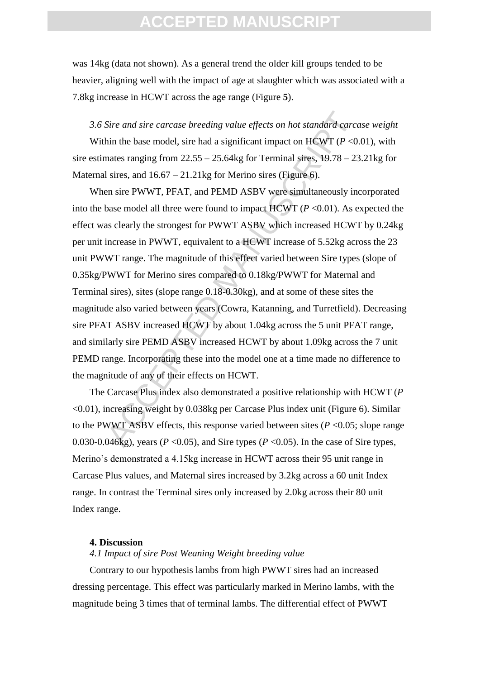was 14kg (data not shown). As a general trend the older kill groups tended to be heavier, aligning well with the impact of age at slaughter which was associated with a 7.8kg increase in HCWT across the age range (Figure **5**).

*3.6 Sire and sire carcase breeding value effects on hot standard carcase weight* Within the base model, sire had a significant impact on HCWT  $(P \le 0.01)$ , with sire estimates ranging from  $22.55 - 25.64$ kg for Terminal sires,  $19.78 - 23.21$ kg for Maternal sires, and  $16.67 - 21.21$ kg for Merino sires (Figure 6).

Sire and sire carcase breeding value effects on hot standard carces<br>in the base model, sire had a significant impact on HCWT ( $P$  <0.<br>mates ranging from 22.55 – 25.64kg for Terminal sires, 19.78 – 23<br>sires, and 16.67 – 21 When sire PWWT, PFAT, and PEMD ASBV were simultaneously incorporated into the base model all three were found to impact HCWT (*P* <0.01). As expected the effect was clearly the strongest for PWWT ASBV which increased HCWT by 0.24kg per unit increase in PWWT, equivalent to a HCWT increase of 5.52kg across the 23 unit PWWT range. The magnitude of this effect varied between Sire types (slope of 0.35kg/PWWT for Merino sires compared to 0.18kg/PWWT for Maternal and Terminal sires), sites (slope range 0.18-0.30kg), and at some of these sites the magnitude also varied between years (Cowra, Katanning, and Turretfield). Decreasing sire PFAT ASBV increased HCWT by about 1.04kg across the 5 unit PFAT range, and similarly sire PEMD ASBV increased HCWT by about 1.09kg across the 7 unit PEMD range. Incorporating these into the model one at a time made no difference to the magnitude of any of their effects on HCWT.

The Carcase Plus index also demonstrated a positive relationship with HCWT (*P*  <0.01), increasing weight by 0.038kg per Carcase Plus index unit (Figure 6). Similar to the PWWT ASBV effects, this response varied between sites (*P* <0.05; slope range 0.030-0.046kg), years ( $P < 0.05$ ), and Sire types ( $P < 0.05$ ). In the case of Sire types, Merino's demonstrated a 4.15kg increase in HCWT across their 95 unit range in Carcase Plus values, and Maternal sires increased by 3.2kg across a 60 unit Index range. In contrast the Terminal sires only increased by 2.0kg across their 80 unit Index range.

#### **4. Discussion**

### *4.1 Impact of sire Post Weaning Weight breeding value*

Contrary to our hypothesis lambs from high PWWT sires had an increased dressing percentage. This effect was particularly marked in Merino lambs, with the magnitude being 3 times that of terminal lambs. The differential effect of PWWT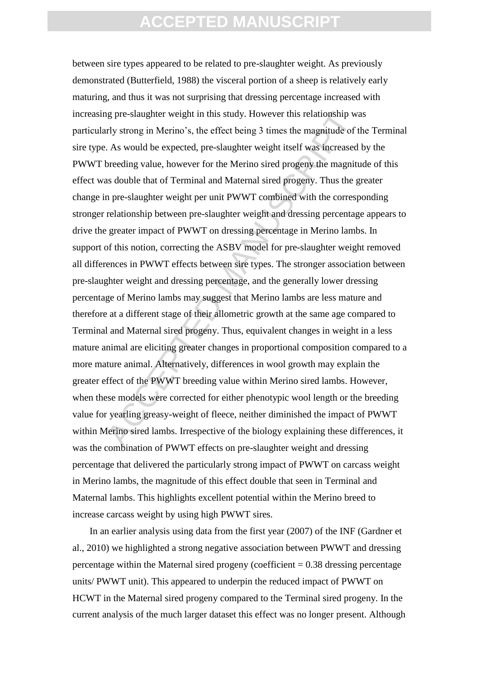rg pre-slaughter weight in this study. However this relationship way<br>try strong in Merino's, the effect being 3 times the magnitude of t<br>As would be expected, pre-slaughter weight itself was increased<br>breeding value, howev between sire types appeared to be related to pre-slaughter weight. As previously demonstrated (Butterfield, 1988) the visceral portion of a sheep is relatively early maturing, and thus it was not surprising that dressing percentage increased with increasing pre-slaughter weight in this study. However this relationship was particularly strong in Merino's, the effect being 3 times the magnitude of the Terminal sire type. As would be expected, pre-slaughter weight itself was increased by the PWWT breeding value, however for the Merino sired progeny the magnitude of this effect was double that of Terminal and Maternal sired progeny. Thus the greater change in pre-slaughter weight per unit PWWT combined with the corresponding stronger relationship between pre-slaughter weight and dressing percentage appears to drive the greater impact of PWWT on dressing percentage in Merino lambs. In support of this notion, correcting the ASBV model for pre-slaughter weight removed all differences in PWWT effects between sire types. The stronger association between pre-slaughter weight and dressing percentage, and the generally lower dressing percentage of Merino lambs may suggest that Merino lambs are less mature and therefore at a different stage of their allometric growth at the same age compared to Terminal and Maternal sired progeny. Thus, equivalent changes in weight in a less mature animal are eliciting greater changes in proportional composition compared to a more mature animal. Alternatively, differences in wool growth may explain the greater effect of the PWWT breeding value within Merino sired lambs. However, when these models were corrected for either phenotypic wool length or the breeding value for yearling greasy-weight of fleece, neither diminished the impact of PWWT within Merino sired lambs. Irrespective of the biology explaining these differences, it was the combination of PWWT effects on pre-slaughter weight and dressing percentage that delivered the particularly strong impact of PWWT on carcass weight in Merino lambs, the magnitude of this effect double that seen in Terminal and Maternal lambs. This highlights excellent potential within the Merino breed to increase carcass weight by using high PWWT sires.

In an earlier analysis using data from the first year (2007) of the INF (Gardner et al., 2010) we highlighted a strong negative association between PWWT and dressing percentage within the Maternal sired progeny (coefficient  $= 0.38$  dressing percentage units/ PWWT unit). This appeared to underpin the reduced impact of PWWT on HCWT in the Maternal sired progeny compared to the Terminal sired progeny. In the current analysis of the much larger dataset this effect was no longer present. Although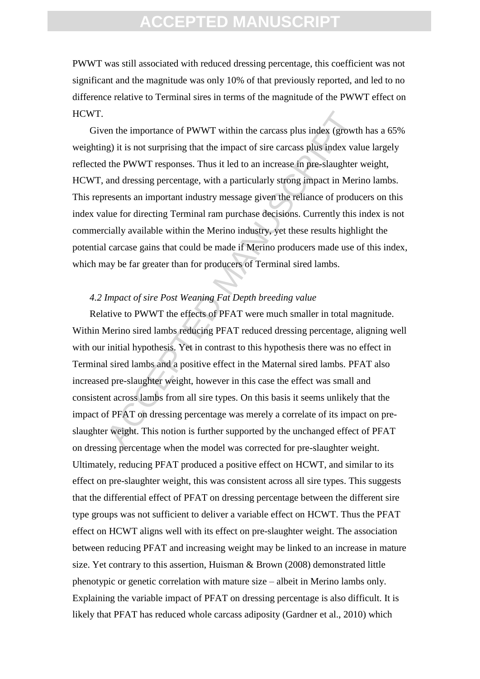PWWT was still associated with reduced dressing percentage, this coefficient was not significant and the magnitude was only 10% of that previously reported, and led to no difference relative to Terminal sires in terms of the magnitude of the PWWT effect on HCWT.

en the importance of PWWT within the carcass plus index (growt<br>g) it is not surprising that the impact of sire carcass plus index val<br>the PWWT responses. Thus it led to an increase in pre-slaughter<br>and dressing percentage, Given the importance of PWWT within the carcass plus index (growth has a 65% weighting) it is not surprising that the impact of sire carcass plus index value largely reflected the PWWT responses. Thus it led to an increase in pre-slaughter weight, HCWT, and dressing percentage, with a particularly strong impact in Merino lambs. This represents an important industry message given the reliance of producers on this index value for directing Terminal ram purchase decisions. Currently this index is not commercially available within the Merino industry, yet these results highlight the potential carcase gains that could be made if Merino producers made use of this index, which may be far greater than for producers of Terminal sired lambs.

#### *4.2 Impact of sire Post Weaning Fat Depth breeding value*

Relative to PWWT the effects of PFAT were much smaller in total magnitude. Within Merino sired lambs reducing PFAT reduced dressing percentage, aligning well with our initial hypothesis. Yet in contrast to this hypothesis there was no effect in Terminal sired lambs and a positive effect in the Maternal sired lambs. PFAT also increased pre-slaughter weight, however in this case the effect was small and consistent across lambs from all sire types. On this basis it seems unlikely that the impact of PFAT on dressing percentage was merely a correlate of its impact on preslaughter weight. This notion is further supported by the unchanged effect of PFAT on dressing percentage when the model was corrected for pre-slaughter weight. Ultimately, reducing PFAT produced a positive effect on HCWT, and similar to its effect on pre-slaughter weight, this was consistent across all sire types. This suggests that the differential effect of PFAT on dressing percentage between the different sire type groups was not sufficient to deliver a variable effect on HCWT. Thus the PFAT effect on HCWT aligns well with its effect on pre-slaughter weight. The association between reducing PFAT and increasing weight may be linked to an increase in mature size. Yet contrary to this assertion, Huisman & Brown (2008) demonstrated little phenotypic or genetic correlation with mature size – albeit in Merino lambs only. Explaining the variable impact of PFAT on dressing percentage is also difficult. It is likely that PFAT has reduced whole carcass adiposity (Gardner et al., 2010) which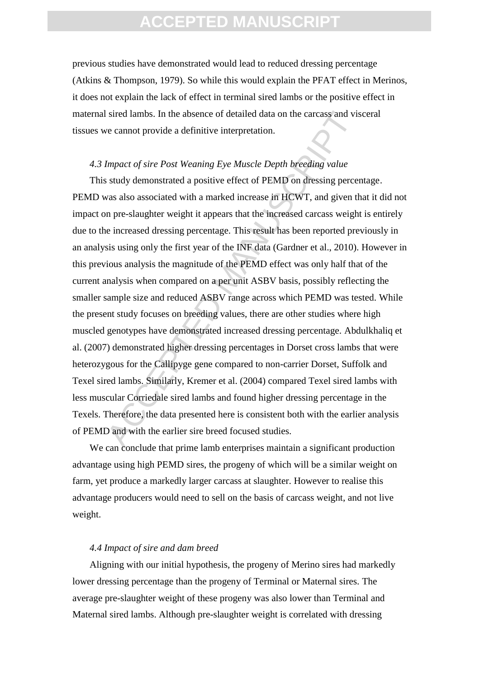previous studies have demonstrated would lead to reduced dressing percentage (Atkins & Thompson, 1979). So while this would explain the PFAT effect in Merinos, it does not explain the lack of effect in terminal sired lambs or the positive effect in maternal sired lambs. In the absence of detailed data on the carcass and visceral tissues we cannot provide a definitive interpretation.

#### *4.3 Impact of sire Post Weaning Eye Muscle Depth breeding value*

is sired lambs. In the absence of detailed data on the carcass and vis<br>ve cannot provide a definitive interpretation.<br> *Impact of sire Post Weaning Eye Muscle Depth breeding value*<br>
study demonstrated a positive effect of This study demonstrated a positive effect of PEMD on dressing percentage. PEMD was also associated with a marked increase in HCWT, and given that it did not impact on pre-slaughter weight it appears that the increased carcass weight is entirely due to the increased dressing percentage. This result has been reported previously in an analysis using only the first year of the INF data (Gardner et al., 2010). However in this previous analysis the magnitude of the PEMD effect was only half that of the current analysis when compared on a per unit ASBV basis, possibly reflecting the smaller sample size and reduced ASBV range across which PEMD was tested. While the present study focuses on breeding values, there are other studies where high muscled genotypes have demonstrated increased dressing percentage. Abdulkhaliq et al. (2007) demonstrated higher dressing percentages in Dorset cross lambs that were heterozygous for the Callipyge gene compared to non-carrier Dorset, Suffolk and Texel sired lambs. Similarly, Kremer et al. (2004) compared Texel sired lambs with less muscular Corriedale sired lambs and found higher dressing percentage in the Texels. Therefore, the data presented here is consistent both with the earlier analysis of PEMD and with the earlier sire breed focused studies.

We can conclude that prime lamb enterprises maintain a significant production advantage using high PEMD sires, the progeny of which will be a similar weight on farm, yet produce a markedly larger carcass at slaughter. However to realise this advantage producers would need to sell on the basis of carcass weight, and not live weight.

#### *4.4 Impact of sire and dam breed*

Aligning with our initial hypothesis, the progeny of Merino sires had markedly lower dressing percentage than the progeny of Terminal or Maternal sires. The average pre-slaughter weight of these progeny was also lower than Terminal and Maternal sired lambs. Although pre-slaughter weight is correlated with dressing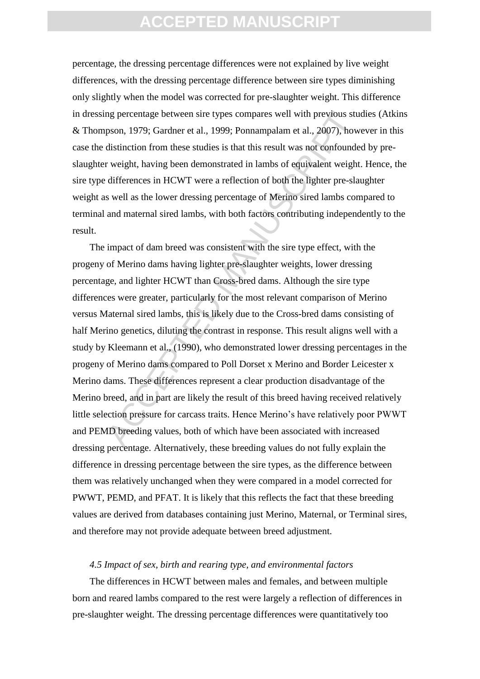percentage, the dressing percentage differences were not explained by live weight differences, with the dressing percentage difference between sire types diminishing only slightly when the model was corrected for pre-slaughter weight. This difference in dressing percentage between sire types compares well with previous studies (Atkins & Thompson, 1979; Gardner et al., 1999; Ponnampalam et al., 2007), however in this case the distinction from these studies is that this result was not confounded by preslaughter weight, having been demonstrated in lambs of equivalent weight. Hence, the sire type differences in HCWT were a reflection of both the lighter pre-slaughter weight as well as the lower dressing percentage of Merino sired lambs compared to terminal and maternal sired lambs, with both factors contributing independently to the result.

many percentage between sire types compares well with previous stupson, 1979; Gardner et al., 1999; Ponnampalam et al., 2007), how<br>distinction from these studies is that this result was not confounde<br>r weight, having been The impact of dam breed was consistent with the sire type effect, with the progeny of Merino dams having lighter pre-slaughter weights, lower dressing percentage, and lighter HCWT than Cross-bred dams. Although the sire type differences were greater, particularly for the most relevant comparison of Merino versus Maternal sired lambs, this is likely due to the Cross-bred dams consisting of half Merino genetics, diluting the contrast in response. This result aligns well with a study by Kleemann et al., (1990), who demonstrated lower dressing percentages in the progeny of Merino dams compared to Poll Dorset x Merino and Border Leicester x Merino dams. These differences represent a clear production disadvantage of the Merino breed, and in part are likely the result of this breed having received relatively little selection pressure for carcass traits. Hence Merino's have relatively poor PWWT and PEMD breeding values, both of which have been associated with increased dressing percentage. Alternatively, these breeding values do not fully explain the difference in dressing percentage between the sire types, as the difference between them was relatively unchanged when they were compared in a model corrected for PWWT, PEMD, and PFAT. It is likely that this reflects the fact that these breeding values are derived from databases containing just Merino, Maternal, or Terminal sires, and therefore may not provide adequate between breed adjustment.

#### *4.5 Impact of sex, birth and rearing type, and environmental factors*

The differences in HCWT between males and females, and between multiple born and reared lambs compared to the rest were largely a reflection of differences in pre-slaughter weight. The dressing percentage differences were quantitatively too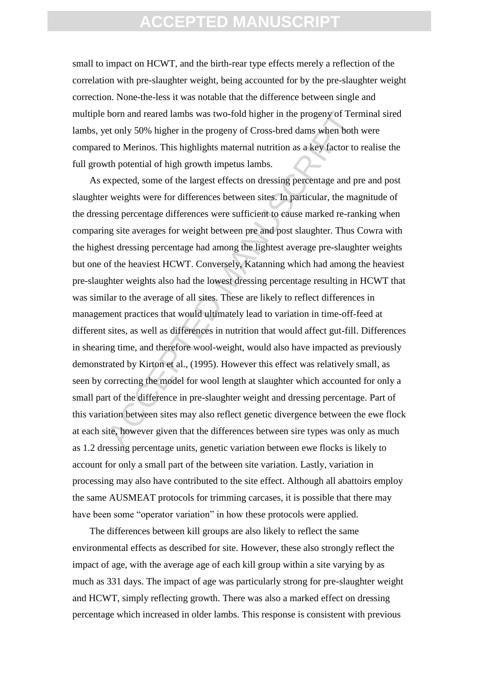small to impact on HCWT, and the birth-rear type effects merely a reflection of the correlation with pre-slaughter weight, being accounted for by the pre-slaughter weight correction. None-the-less it was notable that the difference between single and multiple born and reared lambs was two-fold higher in the progeny of Terminal sired lambs, yet only 50% higher in the progeny of Cross-bred dams when both were compared to Merinos. This highlights maternal nutrition as a key factor to realise the full growth potential of high growth impetus lambs.

bom and reared lambs was two-fold higher in the progeny of Ter<br>et only 50% higher in the progeny of Cross-bred dams when both<br>d to Merinos. This highlights maternal nutrition as a key factor to<br>wh potential of high growth As expected, some of the largest effects on dressing percentage and pre and post slaughter weights were for differences between sites. In particular, the magnitude of the dressing percentage differences were sufficient to cause marked re-ranking when comparing site averages for weight between pre and post slaughter. Thus Cowra with the highest dressing percentage had among the lightest average pre-slaughter weights but one of the heaviest HCWT. Conversely, Katanning which had among the heaviest pre-slaughter weights also had the lowest dressing percentage resulting in HCWT that was similar to the average of all sites. These are likely to reflect differences in management practices that would ultimately lead to variation in time-off-feed at different sites, as well as differences in nutrition that would affect gut-fill. Differences in shearing time, and therefore wool-weight, would also have impacted as previously demonstrated by Kirton et al., (1995). However this effect was relatively small, as seen by correcting the model for wool length at slaughter which accounted for only a small part of the difference in pre-slaughter weight and dressing percentage. Part of this variation between sites may also reflect genetic divergence between the ewe flock at each site, however given that the differences between sire types was only as much as 1.2 dressing percentage units, genetic variation between ewe flocks is likely to account for only a small part of the between site variation. Lastly, variation in processing may also have contributed to the site effect. Although all abattoirs employ the same AUSMEAT protocols for trimming carcases, it is possible that there may have been some "operator variation" in how these protocols were applied.

The differences between kill groups are also likely to reflect the same environmental effects as described for site. However, these also strongly reflect the impact of age, with the average age of each kill group within a site varying by as much as 331 days. The impact of age was particularly strong for pre-slaughter weight and HCWT, simply reflecting growth. There was also a marked effect on dressing percentage which increased in older lambs. This response is consistent with previous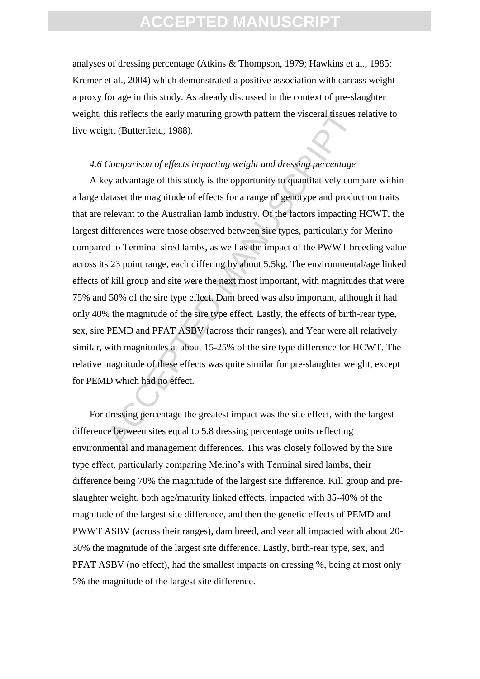analyses of dressing percentage (Atkins & Thompson, 1979; Hawkins et al., 1985; Kremer et al., 2004) which demonstrated a positive association with carcass weight – a proxy for age in this study. As already discussed in the context of pre-slaughter weight, this reflects the early maturing growth pattern the visceral tissues relative to live weight (Butterfield, 1988).

#### *4.6 Comparison of effects impacting weight and dressing percentage*

this reflects the early maturing growth pattern the visceral fissues is<br>the (Butterfield, 1988).<br>Comparison of effects impacting weight and dressing percentage<br>ey advantage of this study is the opportunity to quantitativel A key advantage of this study is the opportunity to quantitatively compare within a large dataset the magnitude of effects for a range of genotype and production traits that are relevant to the Australian lamb industry. Of the factors impacting HCWT, the largest differences were those observed between sire types, particularly for Merino compared to Terminal sired lambs, as well as the impact of the PWWT breeding value across its 23 point range, each differing by about 5.5kg. The environmental/age linked effects of kill group and site were the next most important, with magnitudes that were 75% and 50% of the sire type effect. Dam breed was also important, although it had only 40% the magnitude of the sire type effect. Lastly, the effects of birth-rear type, sex, sire PEMD and PFAT ASBV (across their ranges), and Year were all relatively similar, with magnitudes at about 15-25% of the sire type difference for HCWT. The relative magnitude of these effects was quite similar for pre-slaughter weight, except for PEMD which had no effect.

For dressing percentage the greatest impact was the site effect, with the largest difference between sites equal to 5.8 dressing percentage units reflecting environmental and management differences. This was closely followed by the Sire type effect, particularly comparing Merino's with Terminal sired lambs, their difference being 70% the magnitude of the largest site difference. Kill group and preslaughter weight, both age/maturity linked effects, impacted with 35-40% of the magnitude of the largest site difference, and then the genetic effects of PEMD and PWWT ASBV (across their ranges), dam breed, and year all impacted with about 20- 30% the magnitude of the largest site difference. Lastly, birth-rear type, sex, and PFAT ASBV (no effect), had the smallest impacts on dressing %, being at most only 5% the magnitude of the largest site difference.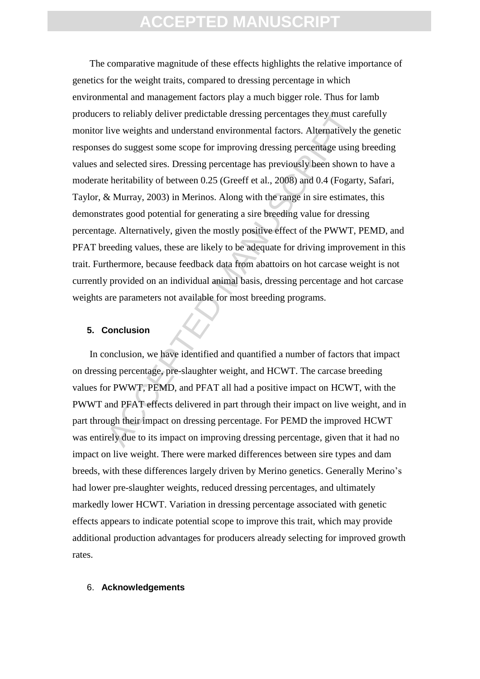is to reliably deliver predictable dressing percentages they must calive weights and understand environmental factors. Alternatively si do suggest some scope for improving dressing percentage using of selected sires. Dress The comparative magnitude of these effects highlights the relative importance of genetics for the weight traits, compared to dressing percentage in which environmental and management factors play a much bigger role. Thus for lamb producers to reliably deliver predictable dressing percentages they must carefully monitor live weights and understand environmental factors. Alternatively the genetic responses do suggest some scope for improving dressing percentage using breeding values and selected sires. Dressing percentage has previously been shown to have a moderate heritability of between 0.25 (Greeff et al., 2008) and 0.4 (Fogarty, Safari, Taylor, & Murray, 2003) in Merinos. Along with the range in sire estimates, this demonstrates good potential for generating a sire breeding value for dressing percentage. Alternatively, given the mostly positive effect of the PWWT, PEMD, and PFAT breeding values, these are likely to be adequate for driving improvement in this trait. Furthermore, because feedback data from abattoirs on hot carcase weight is not currently provided on an individual animal basis, dressing percentage and hot carcase weights are parameters not available for most breeding programs.

#### **5. Conclusion**

In conclusion, we have identified and quantified a number of factors that impact on dressing percentage, pre-slaughter weight, and HCWT. The carcase breeding values for PWWT, PEMD, and PFAT all had a positive impact on HCWT, with the PWWT and PFAT effects delivered in part through their impact on live weight, and in part through their impact on dressing percentage. For PEMD the improved HCWT was entirely due to its impact on improving dressing percentage, given that it had no impact on live weight. There were marked differences between sire types and dam breeds, with these differences largely driven by Merino genetics. Generally Merino's had lower pre-slaughter weights, reduced dressing percentages, and ultimately markedly lower HCWT. Variation in dressing percentage associated with genetic effects appears to indicate potential scope to improve this trait, which may provide additional production advantages for producers already selecting for improved growth rates.

#### 6. **Acknowledgements**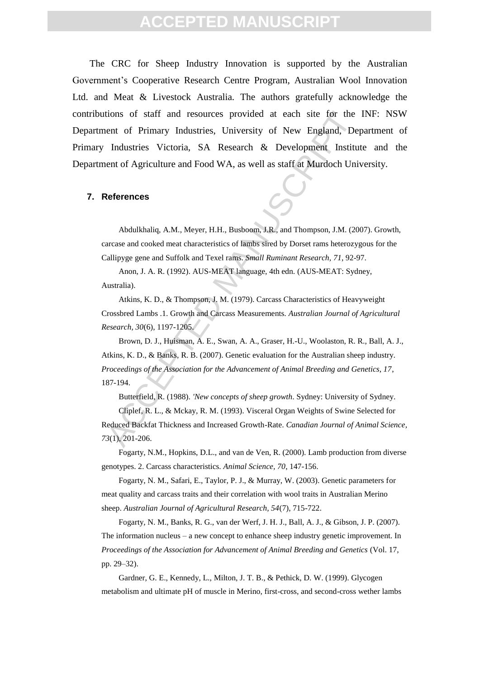tions of staff and resources provided at each site for the<br>ent of Primary Industries, University of New England, De<br>Industries Victoria, SA Research & Development Institu<br>ent of Agriculture and Food WA, as well as staff at The CRC for Sheep Industry Innovation is supported by the Australian Government's Cooperative Research Centre Program, Australian Wool Innovation Ltd. and Meat & Livestock Australia. The authors gratefully acknowledge the contributions of staff and resources provided at each site for the INF: NSW Department of Primary Industries, University of New England, Department of Primary Industries Victoria, SA Research & Development Institute and the Department of Agriculture and Food WA, as well as staff at Murdoch University.

#### **7. References**

Abdulkhaliq, A.M., Meyer, H.H., Busboom, J.R., and Thompson, J.M. (2007). Growth, carcase and cooked meat characteristics of lambs sired by Dorset rams heterozygous for the Callipyge gene and Suffolk and Texel rams. *Small Ruminant Research, 71*, 92-97.

Anon, J. A. R. (1992). AUS-MEAT language, 4th edn. (AUS-MEAT: Sydney, Australia).

Atkins, K. D., & Thompson, J. M. (1979). Carcass Characteristics of Heavyweight Crossbred Lambs .1. Growth and Carcass Measurements. *Australian Journal of Agricultural Research, 30*(6), 1197-1205.

Brown, D. J., Huisman, A. E., Swan, A. A., Graser, H.-U., Woolaston, R. R., Ball, A. J., Atkins, K. D., & Banks, R. B. (2007). Genetic evaluation for the Australian sheep industry. *Proceedings of the Association for the Advancement of Animal Breeding and Genetics, 17*, 187-194.

Butterfield, R. (1988). *'New concepts of sheep growth*. Sydney: University of Sydney.

Cliplef, R. L., & Mckay, R. M. (1993). Visceral Organ Weights of Swine Selected for Reduced Backfat Thickness and Increased Growth-Rate. *Canadian Journal of Animal Science, 73*(1), 201-206.

Fogarty, N.M., Hopkins, D.L., and van de Ven, R. (2000). Lamb production from diverse genotypes. 2. Carcass characteristics. *Animal Science, 70*, 147-156.

Fogarty, N. M., Safari, E., Taylor, P. J., & Murray, W. (2003). Genetic parameters for meat quality and carcass traits and their correlation with wool traits in Australian Merino sheep. *Australian Journal of Agricultural Research, 54*(7), 715-722.

Fogarty, N. M., Banks, R. G., van der Werf, J. H. J., Ball, A. J., & Gibson, J. P. (2007). The information nucleus – a new concept to enhance sheep industry genetic improvement. In *Proceedings of the Association for Advancement of Animal Breeding and Genetics* (Vol. 17, pp. 29–32).

Gardner, G. E., Kennedy, L., Milton, J. T. B., & Pethick, D. W. (1999). Glycogen metabolism and ultimate pH of muscle in Merino, first-cross, and second-cross wether lambs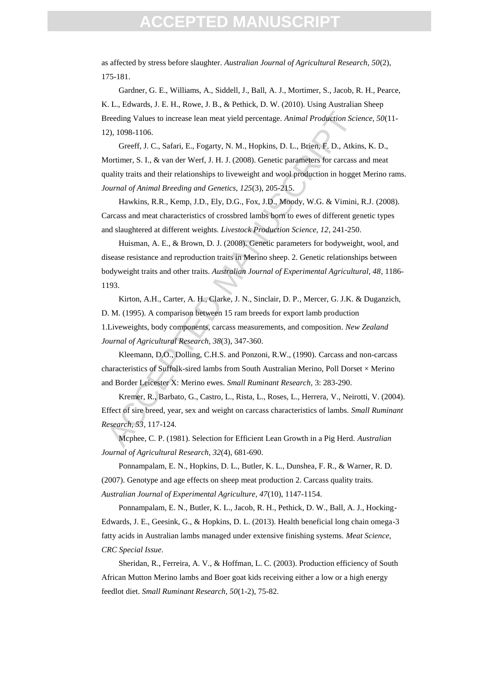as affected by stress before slaughter. *Australian Journal of Agricultural Research, 50*(2), 175-181.

Gardner, G. E., Williams, A., Siddell, J., Ball, A. J., Mortimer, S., Jacob, R. H., Pearce, K. L., Edwards, J. E. H., Rowe, J. B., & Pethick, D. W. (2010). Using Australian Sheep Breeding Values to increase lean meat yield percentage. *Animal Production Science, 50*(11- 12), 1098-1106.

Greeff, J. C., Safari, E., Fogarty, N. M., Hopkins, D. L., Brien, F. D., Atkins, K. D., Mortimer, S. I., & van der Werf, J. H. J. (2008). Genetic parameters for carcass and meat quality traits and their relationships to liveweight and wool production in hogget Merino rams. *Journal of Animal Breeding and Genetics, 125*(3), 205-215.

Hawkins, R.R., Kemp, J.D., Ely, D.G., Fox, J.D., Moody, W.G. & Vimini, R.J. (2008). Carcass and meat characteristics of crossbred lambs born to ewes of different genetic types and slaughtered at different weights. *Livestock Production Science, 12*, 241-250.

Breeding Values to increase lean meat yield percentage. *Animal Production Scie*<br>2), 1098-1106.<br>
Greeff, J. C., Safari, E., Fogarty, N. M., Hopkins, D. L., Brien, F. D., Atkir<br>
dortimer, S. I., & van der Werf, J. H. J. (20 Huisman, A. E., & Brown, D. J. (2008). Genetic parameters for bodyweight, wool, and disease resistance and reproduction traits in Merino sheep. 2. Genetic relationships between bodyweight traits and other traits. *Australian Journal of Experimental Agricultural, 48*, 1186- 1193.

Kirton, A.H., Carter, A. H., Clarke, J. N., Sinclair, D. P., Mercer, G. J.K. & Duganzich, D. M. (1995). A comparison between 15 ram breeds for export lamb production 1.Liveweights, body components, carcass measurements, and composition. *New Zealand Journal of Agricultural Research, 38*(3), 347-360.

Kleemann, D.O., Dolling, C.H.S. and Ponzoni, R.W., (1990). Carcass and non-carcass characteristics of Suffolk-sired lambs from South Australian Merino, Poll Dorset × Merino and Border Leicester X: Merino ewes. *Small Ruminant Research,* 3: 283-290.

Kremer, R., Barbato, G., Castro, L., Rista, L., Roses, L., Herrera, V., Neirotti, V. (2004). Effect of sire breed, year, sex and weight on carcass characteristics of lambs. *Small Ruminant Research, 53*, 117-124.

Mcphee, C. P. (1981). Selection for Efficient Lean Growth in a Pig Herd. *Australian Journal of Agricultural Research, 32*(4), 681-690.

Ponnampalam, E. N., Hopkins, D. L., Butler, K. L., Dunshea, F. R., & Warner, R. D. (2007). Genotype and age effects on sheep meat production 2. Carcass quality traits. *Australian Journal of Experimental Agriculture, 47*(10), 1147-1154.

Ponnampalam, E. N., Butler, K. L., Jacob, R. H., Pethick, D. W., Ball, A. J., Hocking-Edwards, J. E., Geesink, G., & Hopkins, D. L. (2013). Health beneficial long chain omega-3 fatty acids in Australian lambs managed under extensive finishing systems. *Meat Science, CRC Special Issue*.

Sheridan, R., Ferreira, A. V., & Hoffman, L. C. (2003). Production efficiency of South African Mutton Merino lambs and Boer goat kids receiving either a low or a high energy feedlot diet. *Small Ruminant Research, 50*(1-2), 75-82.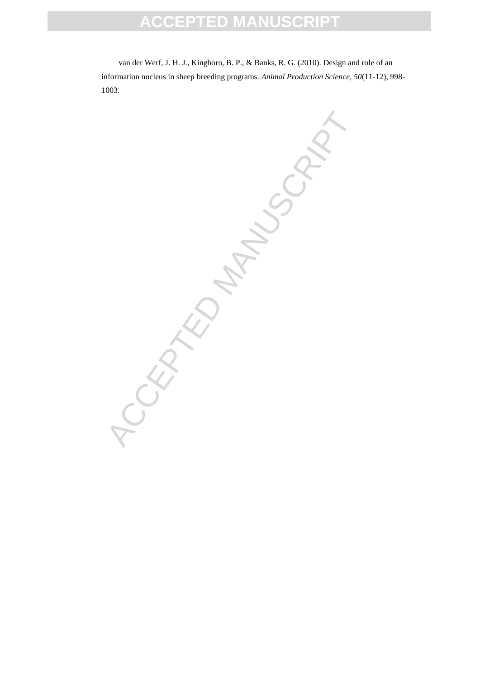van der Werf, J. H. J., Kinghorn, B. P., & Banks, R. G. (2010). Design and role of an information nucleus in sheep breeding programs. *Animal Production Science, 50*(11-12), 998- 1003.

ACCEPTED MANUSCRIPT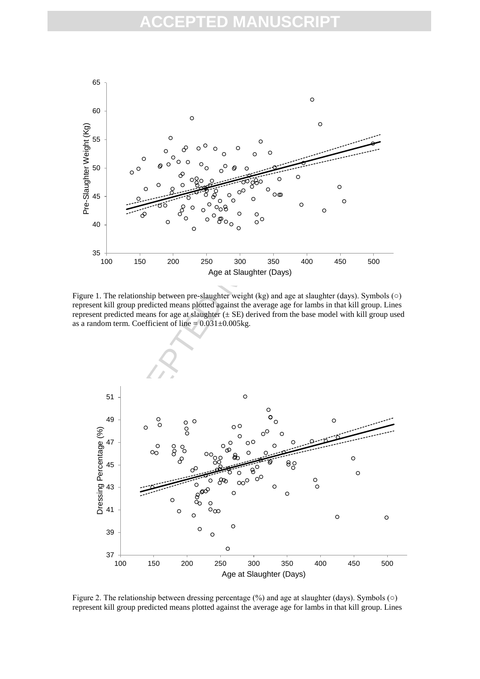

Figure 1. The relationship between pre-slaughter weight (kg) and age at slaughter (days). Symbols (○) represent kill group predicted means plotted against the average age for lambs in that kill group. Lines represent predicted means for age at slaughter  $(\pm S)$  derived from the base model with kill group used as a random term. Coefficient of line  $= 0.031 \pm 0.005$ kg.



Figure 2. The relationship between dressing percentage  $\frac{9}{9}$  and age at slaughter (days). Symbols ( $\circ$ ) represent kill group predicted means plotted against the average age for lambs in that kill group. Lines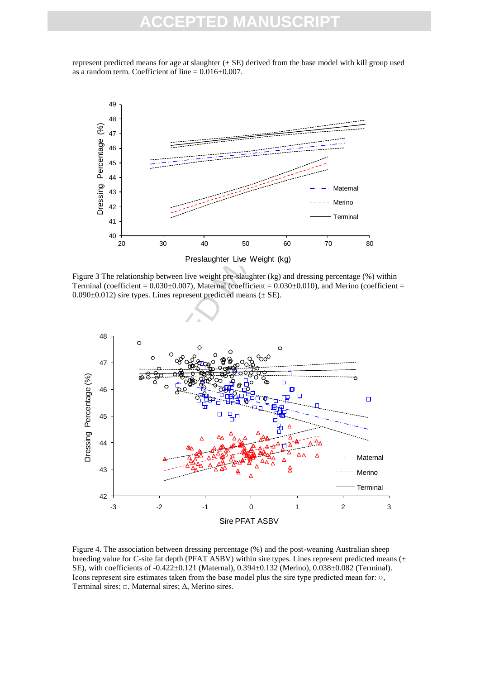represent predicted means for age at slaughter  $(\pm \text{ SE})$  derived from the base model with kill group used as a random term. Coefficient of line  $= 0.016 \pm 0.007$ .



Figure 3 The relationship between live weight pre-slaughter (kg) and dressing percentage (%) within Terminal (coefficient =  $0.030\pm0.007$ ), Maternal (coefficient =  $0.030\pm0.010$ ), and Merino (coefficient =  $0.090\pm0.012$ ) sire types. Lines represent predicted means ( $\pm$  SE).



Figure 4. The association between dressing percentage (%) and the post-weaning Australian sheep breeding value for C-site fat depth (PFAT ASBV) within sire types. Lines represent predicted means  $(±)$ SE), with coefficients of -0.422±0.121 (Maternal), 0.394±0.132 (Merino), 0.038±0.082 (Terminal). Icons represent sire estimates taken from the base model plus the sire type predicted mean for: ○, Terminal sires;  $\Box$ , Maternal sires;  $\Delta$ , Merino sires.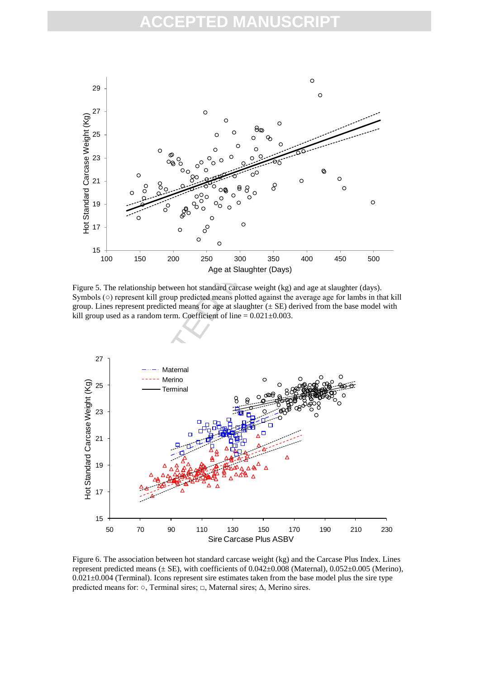

Figure 5. The relationship between hot standard carcase weight (kg) and age at slaughter (days). Symbols ( $\circ$ ) represent kill group predicted means plotted against the average age for lambs in that kill group. Lines represent predicted means for age at slaughter  $(\pm S\mathbf{E})$  derived from the base model with kill group used as a random term. Coefficient of line  $= 0.021 \pm 0.003$ .



Figure 6. The association between hot standard carcase weight (kg) and the Carcase Plus Index. Lines represent predicted means (± SE), with coefficients of 0.042±0.008 (Maternal), 0.052±0.005 (Merino), 0.021±0.004 (Terminal). Icons represent sire estimates taken from the base model plus the sire type predicted means for:  $\circ$ , Terminal sires;  $\Box$ , Maternal sires;  $\Delta$ , Merino sires.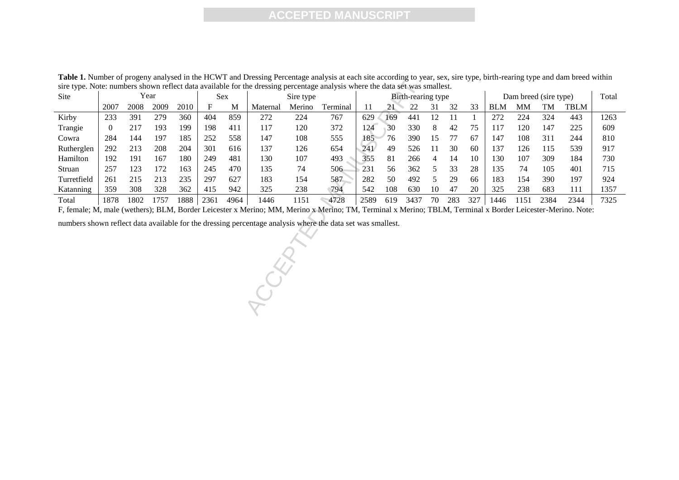| $\sum_{i=1}^{n} a_i$ |      |      |      |      |      |      |          |           |          |      |     |                    |    |     |     |            |                       |      |             |       |
|----------------------|------|------|------|------|------|------|----------|-----------|----------|------|-----|--------------------|----|-----|-----|------------|-----------------------|------|-------------|-------|
| Site                 |      |      | Year |      |      | Sex  |          | Sire type |          |      |     | Birth-rearing type |    |     |     |            | Dam breed (sire type) |      |             | Total |
|                      | 2007 | 2008 | 2009 | 2010 |      | M    | Maternal | Merino    | Terminal |      | 21  | 22                 |    | 32  | 33  | <b>BLM</b> | MМ                    | TМ   | <b>TBLM</b> |       |
| Kirby                | 233  | 39   | 279  | 360  | 404  | 859  | 272      | 224       | 767      | 629  | 169 | $44^\circ$         |    |     |     | 272        | 224                   | 324  | 443         | 1263  |
| Trangie              |      | 217  | 193  | 199  | 198  | 411  | 117      | 120       | 372      | 124  | 30  | 330                |    | 42  | 75  |            | 120                   | 147  | 225         | 609   |
| Cowra                | 284  | 144  | 197  | 185  | 252  | 558  | 147      | 108       | 555      | 185  | 76  | 390                |    |     | 67  | 147        | 108                   | 311  | 244         | 810   |
| Rutherglen           | 292  | 213  | 208  | 204  | 301  | 616  | 137      | 126       | 654      | 241  | 49  | 526                |    | 30  | 60  | 137        | 126                   | 115  | 539         | 917   |
| Hamilton             | 192  | 191  | 167  | 180  | 249  | 481  | 130      | 107       | 493      | 355  | 81  | 266                |    | 14  | 10  | 130        | 107                   | 309  | 184         | 730   |
| Struan               | 257  | 123  | .72  | 163  | 245  | 470  | 135      | 74        | 506      | 231  | 56  | 362                |    | 33  | 28  | 135        | 74                    | 105  | 401         | 715   |
| Turretfield          | 261  | 215  | 213  | 235  | 297  | 627  | 183      | 154       | 587      | 282  | 50  | 492                |    | 29  | 66  | 183        | 154                   | 390  | 197         | 924   |
| Katanning            | 359  | 308  | 328  | 362  | 415  | 942  | 325      | 238       | 794      | 542  | 108 | 630                |    | 47  | 20  | 325        | 238                   | 683  | 111         | 1357  |
| Total                | 1878 | 1802 | 1757 | 1888 | 2361 | 4964 | 1446     | 1151      | 4728     | 2589 | 619 | 3437               | 70 | 283 | 327 | 446ء       | 151                   | 2384 | 2344        | 7325  |

**Table 1.** Number of progeny analysed in the HCWT and Dressing Percentage analysis at each site according to year, sex, sire type, birth-rearing type and dam breed within sire type. Note: numbers shown reflect data available for the dressing percentage analysis where the data set was smallest.

F, female; M, male (wethers); BLM, Border Leicester x Merino; MM, Merino x Merino; TM, Terminal x Merino; TBLM, Terminal x Border Leicester-Merino. Note:

numbers shown reflect data available for the dressing percentage analysis where the data set was smallest.

**ACCEPTE**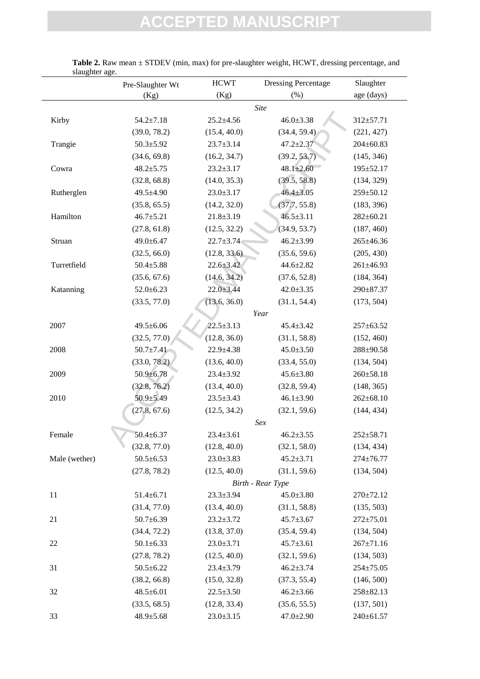| siaugnier age. |                          | <b>HCWT</b>     | <b>Dressing Percentage</b> | Slaughter       |
|----------------|--------------------------|-----------------|----------------------------|-----------------|
|                | Pre-Slaughter Wt<br>(Kg) | (Kg)            | (%)                        | age (days)      |
|                |                          |                 | <b>Site</b>                |                 |
| Kirby          | $54.2 \pm 7.18$          | $25.2 \pm 4.56$ | $46.0 \pm 3.38$            | 312±57.71       |
|                | (39.0, 78.2)             | (15.4, 40.0)    | (34.4, 59.4)               | (221, 427)      |
|                | $50.3 \pm 5.92$          | $23.7 \pm 3.14$ | $47.2 \pm 2.37$            | $204 \pm 60.83$ |
| Trangie        |                          |                 |                            |                 |
|                | (34.6, 69.8)             | (16.2, 34.7)    | (39.2, 53.7)               | (145, 346)      |
| Cowra          | $48.2 \pm 5.75$          | $23.2 \pm 3.17$ | $48.1 \pm 2.60$            | $195 \pm 52.17$ |
|                | (32.8, 68.8)             | (14.0, 35.3)    | (39.5, 58.8)               | (134, 329)      |
| Rutherglen     | 49.5±4.90                | $23.0 \pm 3.17$ | $46.4 \pm 3.05$            | 259±50.12       |
|                | (35.8, 65.5)             | (14.2, 32.0)    | (37.7, 55.8)               | (183, 396)      |
| Hamilton       | $46.7 \pm 5.21$          | $21.8 \pm 3.19$ | $46.5 \pm 3.11$            | $282 \pm 60.21$ |
|                | (27.8, 61.8)             | (12.5, 32.2)    | (34.9, 53.7)               | (187, 460)      |
| Struan         | $49.0 \pm 6.47$          | $22.7 \pm 3.74$ | $46.2{\pm}3.99$            | 265±46.36       |
|                | (32.5, 66.0)             | (12.8, 33.6)    | (35.6, 59.6)               | (205, 430)      |
| Turretfield    | $50.4 \pm 5.88$          | $22.6 \pm 3.42$ | $44.6 \pm 2.82$            | 261±46.93       |
|                | (35.6, 67.6)             | (14.6, 34.2)    | (37.6, 52.8)               | (184, 364)      |
| Katanning      | $52.0 \pm 6.23$          | $22.0 + 3.44$   | $42.0 \pm 3.35$            | 290±87.37       |
|                | (33.5, 77.0)             | (13.6, 36.0)    | (31.1, 54.4)               | (173, 504)      |
|                |                          |                 | Year                       |                 |
| 2007           | $49.5 \pm 6.06$          | $22.5 \pm 3.13$ | $45.4 \pm 3.42$            | $257 \pm 63.52$ |
|                | (32.5, 77.0)             | (12.8, 36.0)    | (31.1, 58.8)               | (152, 460)      |
| 2008           | $50.7 \pm 7.41$          | $22.9 \pm 4.38$ | $45.0 \pm 3.50$            | 288±90.58       |
|                | (33.0, 78.2)             | (13.6, 40.0)    | (33.4, 55.0)               | (134, 504)      |
| 2009           | $50.9 \pm 6.78$          | $23.4 \pm 3.92$ | $45.6 \pm 3.80$            | $260 \pm 58.18$ |
|                | (32.8, 76.2)             | (13.4, 40.0)    | (32.8, 59.4)               | (148, 365)      |
| 2010           | $50.9{\pm}5.49$          | $23.5 \pm 3.43$ | $46.1 \pm 3.90$            | $262 \pm 68.10$ |
|                | (27.8, 67.6)             | (12.5, 34.2)    | (32.1, 59.6)               | (144, 434)      |
|                |                          |                 | Sex                        |                 |
| Female         | $50.4 \pm 6.37$          | $23.4 \pm 3.61$ | $46.2 \pm 3.55$            | $252 + 58.71$   |
|                | (32.8, 77.0)             | (12.8, 40.0)    | (32.1, 58.0)               | (134, 434)      |
| Male (wether)  | $50.5 \pm 6.53$          | $23.0 \pm 3.83$ | $45.2 \pm 3.71$            | $274 \pm 76.77$ |
|                | (27.8, 78.2)             | (12.5, 40.0)    | (31.1, 59.6)               | (134, 504)      |
|                |                          |                 | Birth - Rear Type          |                 |
| 11             | $51.4 \pm 6.71$          | $23.3 \pm 3.94$ | $45.0 \pm 3.80$            | 270±72.12       |
|                | (31.4, 77.0)             | (13.4, 40.0)    | (31.1, 58.8)               | (135, 503)      |
| 21             | $50.7 \pm 6.39$          | $23.2 \pm 3.72$ | $45.7 \pm 3.67$            | $272 \pm 75.01$ |
|                | (34.4, 72.2)             | (13.8, 37.0)    | (35.4, 59.4)               | (134, 504)      |
| 22             | $50.1 \pm 6.33$          | $23.0 \pm 3.71$ | $45.7 \pm 3.61$            | $267 \pm 71.16$ |
|                | (27.8, 78.2)             | (12.5, 40.0)    | (32.1, 59.6)               | (134, 503)      |
| 31             |                          |                 |                            |                 |
|                | $50.5 \pm 6.22$          | $23.4 \pm 3.79$ | $46.2 \pm 3.74$            | $254 \pm 75.05$ |
|                | (38.2, 66.8)             | (15.0, 32.8)    | (37.3, 55.4)               | (146, 500)      |
| 32             | $48.5 \pm 6.01$          | $22.5 \pm 3.50$ | $46.2 \pm 3.66$            | $258 \pm 82.13$ |
|                | (33.5, 68.5)             | (12.8, 33.4)    | (35.6, 55.5)               | (137, 501)      |
| 33             | $48.9 \pm 5.68$          | $23.0 \pm 3.15$ | $47.0 \pm 2.90$            | $240 \pm 61.57$ |

| <b>Table 2.</b> Raw mean $\pm$ STDEV (min, max) for pre-slaughter weight, HCWT, dressing percentage, and |  |  |
|----------------------------------------------------------------------------------------------------------|--|--|
| slaughter age.                                                                                           |  |  |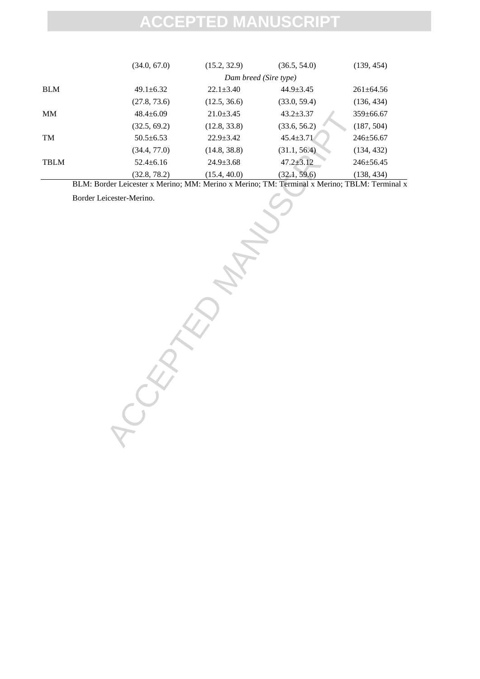|             | (34.0, 67.0)    | (15.2, 32.9)    | (36.5, 54.0)          | (139, 454)      |
|-------------|-----------------|-----------------|-----------------------|-----------------|
|             |                 |                 | Dam breed (Sire type) |                 |
| <b>BLM</b>  | $49.1 \pm 6.32$ | $22.1 \pm 3.40$ | $44.9 \pm 3.45$       | $261 \pm 64.56$ |
|             | (27.8, 73.6)    | (12.5, 36.6)    | (33.0, 59.4)          | (136, 434)      |
| МM          | $48.4 \pm 6.09$ | $21.0 \pm 3.45$ | $43.2 \pm 3.37$       | $359 \pm 66.67$ |
|             | (32.5, 69.2)    | (12.8, 33.8)    | (33.6, 56.2)          | (187, 504)      |
| TM          | $50.5 \pm 6.53$ | $22.9 \pm 3.42$ | $45.4 \pm 3.71$       | $246 \pm 56.67$ |
|             | (34.4, 77.0)    | (14.8, 38.8)    | (31.1, 56.4)          | (134, 432)      |
| <b>TBLM</b> | $52.4 \pm 6.16$ | $24.9 \pm 3.68$ | $47.2 \pm 3.12$       | $246 \pm 56.45$ |
|             | (32.8, 78.2)    | (15.4, 40.0)    | (32.1, 59.6)          | (138, 434)      |

BLM: Border Leicester x Merino; MM: Merino x Merino; TM: Terminal x Merino; TBLM: Terminal x

Border Leicester-Merino.

48.4±6.09 21.0±3.45 43.2±3.37 35<br>
(32.5, 69.2) (12.8, 33.8) (33.6, 56.25 ) (1<br>
50.5±6.53 22.9±3.42 35.8, 65.25 ) (1<br>
(34.4, 77.0) (14.8, 38.8) (31.1, 56.4) (2<br>
52.4±6.16 24.9±3.68 47.2±3.12 24<br>
(32.8, 78.2) (15.4, 40.0) (3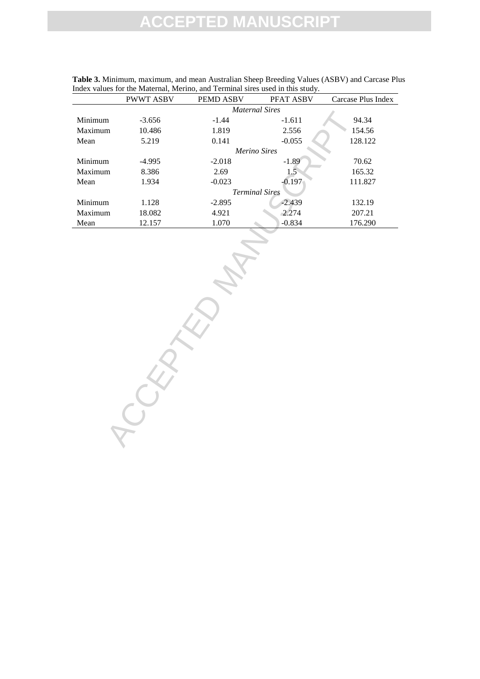|         | <b>PWWT ASBV</b> | PEMD ASBV             | PFAT ASBV             | Carcase Plus Index |
|---------|------------------|-----------------------|-----------------------|--------------------|
|         |                  | <b>Maternal Sires</b> |                       |                    |
| Minimum | $-3.656$         | $-1.44$               | $-1.611$              | 94.34              |
| Maximum | 10.486           | 1.819                 | 2.556                 | 154.56             |
| Mean    | 5.219            | 0.141                 | $-0.055$              | 128.122            |
|         |                  | Merino Sires          |                       |                    |
| Minimum | $-4.995$         | $-2.018$              | $-1.89$               | 70.62              |
| Maximum | 8.386            | 2.69                  | 1.5                   | 165.32             |
| Mean    | 1.934            | $-0.023$              | $-0.197$              | 111.827            |
|         |                  |                       | <b>Terminal Sires</b> |                    |
| Minimum | 1.128            | $-2.895$              | $-2.439$              | 132.19             |
| Maximum | 18.082           | 4.921                 | $-2.274$              | 207.21             |
| Mean    | 12.157           | 1.070                 | $-0.834$              | 176.290            |
|         |                  |                       |                       |                    |

| Table 3. Minimum, maximum, and mean Australian Sheep Breeding Values (ASBV) and Carcase Plus |
|----------------------------------------------------------------------------------------------|
| Index values for the Maternal, Merino, and Terminal sires used in this study.                |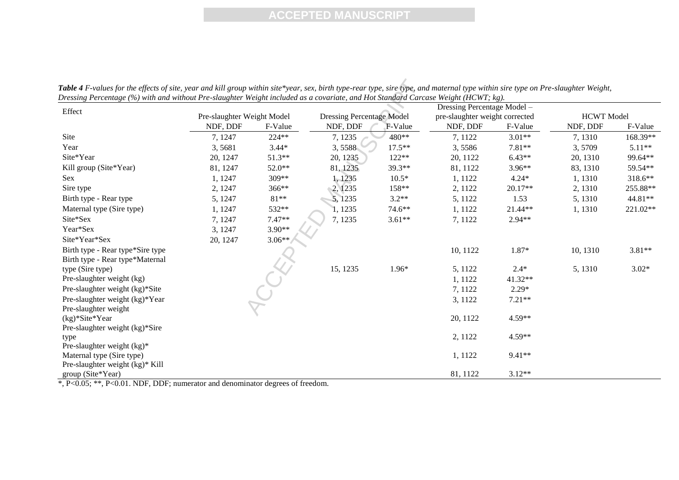| Effect                                        | Dressing Percentage Model - |          |                                  |          |                                |           |                   |          |  |  |
|-----------------------------------------------|-----------------------------|----------|----------------------------------|----------|--------------------------------|-----------|-------------------|----------|--|--|
|                                               | Pre-slaughter Weight Model  |          | <b>Dressing Percentage Model</b> |          | pre-slaughter weight corrected |           | <b>HCWT</b> Model |          |  |  |
|                                               | NDF, DDF                    | F-Value  | NDF, DDF                         | F-Value  | NDF, DDF                       | F-Value   | NDF, DDF          | F-Value  |  |  |
| Site                                          | 7, 1247                     | $224**$  | 7, 1235                          | 480**    | 7, 1122                        | $3.01**$  | 7,1310            | 168.39** |  |  |
| Year                                          | 3,5681                      | $3.44*$  | 3,5588                           | $17.5**$ | 3,5586                         | $7.81**$  | 3,5709            | $5.11**$ |  |  |
| Site*Year                                     | 20, 1247                    | 51.3**   | 20, 1235                         | 122**    | 20, 1122                       | $6.43**$  | 20, 1310          | 99.64**  |  |  |
| Kill group (Site*Year)                        | 81, 1247                    | 52.0**   | 81, 1235                         | 39.3**   | 81, 1122                       | 3.96**    | 83, 1310          | 59.54**  |  |  |
| Sex                                           | 1, 1247                     | 309**    | 1,1235                           | $10.5*$  | 1, 1122                        | $4.24*$   | 1,1310            | 318.6**  |  |  |
| Sire type                                     | 2, 1247                     | 366**    | 2, 1235                          | 158**    | 2, 1122                        | $20.17**$ | 2,1310            | 255.88** |  |  |
| Birth type - Rear type                        | 5, 1247                     | $81***$  | 5, 1235                          | $3.2**$  | 5, 1122                        | 1.53      | 5,1310            | 44.81**  |  |  |
| Maternal type (Sire type)                     | 1, 1247                     | 532**    | 1, 1235                          | 74.6**   | 1, 1122                        | $21.44**$ | 1,1310            | 221.02** |  |  |
| Site*Sex                                      | 7, 1247                     | $7.47**$ | 7,1235                           | $3.61**$ | 7, 1122                        | $2.94**$  |                   |          |  |  |
| Year*Sex                                      | 3, 1247                     | 3.90**   |                                  |          |                                |           |                   |          |  |  |
| Site*Year*Sex                                 | 20, 1247                    | $3.06**$ |                                  |          |                                |           |                   |          |  |  |
| Birth type - Rear type*Sire type              |                             |          |                                  |          | 10, 1122                       | 1.87*     | 10, 1310          | $3.81**$ |  |  |
| Birth type - Rear type*Maternal               |                             |          |                                  |          |                                |           |                   |          |  |  |
| type (Sire type)                              |                             |          | 15, 1235                         | 1.96*    | 5, 1122                        | $2.4*$    | 5, 1310           | $3.02*$  |  |  |
| Pre-slaughter weight (kg)                     |                             |          |                                  |          | 1, 1122                        | 41.32**   |                   |          |  |  |
| Pre-slaughter weight (kg)*Site                |                             |          |                                  |          | 7, 1122                        | $2.29*$   |                   |          |  |  |
| Pre-slaughter weight (kg)*Year                |                             |          |                                  |          | 3, 1122                        | $7.21**$  |                   |          |  |  |
| Pre-slaughter weight                          |                             |          |                                  |          |                                |           |                   |          |  |  |
| $(kg)*$ Site*Year                             |                             |          |                                  |          | 20, 1122                       | 4.59**    |                   |          |  |  |
| Pre-slaughter weight (kg)*Sire                |                             |          |                                  |          |                                |           |                   |          |  |  |
| type<br>Pre-slaughter weight $(kg)^*$         |                             |          |                                  |          | 2, 1122                        | 4.59**    |                   |          |  |  |
| Maternal type (Sire type)                     |                             |          |                                  |          | 1, 1122                        | 9.41**    |                   |          |  |  |
| Pre-slaughter weight $(kg)$ <sup>*</sup> Kill |                             |          |                                  |          |                                |           |                   |          |  |  |
| group (Site*Year)                             |                             |          |                                  |          | 81, 1122                       | $3.12**$  |                   |          |  |  |

\*, P<0.05; \*\*, P<0.01. NDF, DDF; numerator and denominator degrees of freedom.